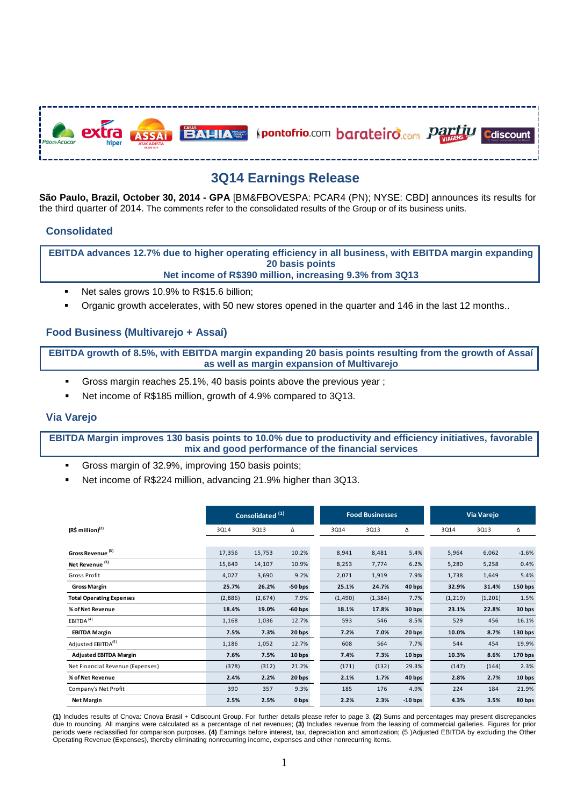

# **3Q14 Earnings Release**

**São Paulo, Brazil, October 30, 2014 - GPA** [BM&FBOVESPA: PCAR4 (PN); NYSE: CBD] announces its results for the third quarter of 2014. The comments refer to the consolidated results of the Group or of its business units.

## **Consolidated**

**EBITDA advances 12.7% due to higher operating efficiency in all business, with EBITDA margin expanding 20 basis points Net income of R\$390 million, increasing 9.3% from 3Q13**

- Net sales grows 10.9% to R\$15.6 billion;
- Organic growth accelerates, with 50 new stores opened in the quarter and 146 in the last 12 months..

## **Food Business (Multivarejo + Assaí)**

**EBITDA growth of 8.5%, with EBITDA margin expanding 20 basis points resulting from the growth of Assaí as well as margin expansion of Multivarejo**

- Gross margin reaches 25.1%, 40 basis points above the previous year ;
- Net income of R\$185 million, growth of 4.9% compared to 3Q13.

## **Via Varejo**

**EBITDA Margin improves 130 basis points to 10.0% due to productivity and efficiency initiatives, favorable mix and good performance of the financial services**

- Gross margin of 32.9%, improving 150 basis points;
- Net income of R\$224 million, advancing 21.9% higher than 3Q13.

|                                  | Consolidated <sup>(1)</sup> |         |           | <b>Food Businesses</b> |          |           | Via Varejo |          |                    |
|----------------------------------|-----------------------------|---------|-----------|------------------------|----------|-----------|------------|----------|--------------------|
| $(R$$ million) <sup>(2)</sup>    | 3Q14                        | 3Q13    | Δ         | 3Q14                   | 3Q13     | Δ         | 3Q14       | 3Q13     | Δ                  |
|                                  |                             |         |           |                        |          |           |            |          |                    |
| Gross Revenue <sup>(3)</sup>     | 17,356                      | 15,753  | 10.2%     | 8,941                  | 8,481    | 5.4%      | 5,964      | 6,062    | $-1.6%$            |
| Net Revenue <sup>(3)</sup>       | 15,649                      | 14,107  | 10.9%     | 8,253                  | 7,774    | 6.2%      | 5,280      | 5,258    | 0.4%               |
| Gross Profit                     | 4,027                       | 3,690   | 9.2%      | 2,071                  | 1,919    | 7.9%      | 1,738      | 1,649    | 5.4%               |
| <b>Gross Margin</b>              | 25.7%                       | 26.2%   | $-50$ bps | 25.1%                  | 24.7%    | 40 bps    | 32.9%      | 31.4%    | 150 bps            |
| <b>Total Operating Expenses</b>  | (2,886)                     | (2,674) | 7.9%      | (1, 490)               | (1, 384) | 7.7%      | (1, 219)   | (1, 201) | 1.5%               |
| % of Net Revenue                 | 18.4%                       | 19.0%   | $-60$ bps | 18.1%                  | 17.8%    | 30 bps    | 23.1%      | 22.8%    | 30 bps             |
| EBITDA <sup>(4)</sup>            | 1,168                       | 1,036   | 12.7%     | 593                    | 546      | 8.5%      | 529        | 456      | 16.1%              |
| <b>EBITDA Margin</b>             | 7.5%                        | 7.3%    | 20 bps    | 7.2%                   | 7.0%     | 20 bps    | 10.0%      | 8.7%     | 130 <sub>bps</sub> |
| Adjusted EBITDA <sup>(5)</sup>   | 1,186                       | 1,052   | 12.7%     | 608                    | 564      | 7.7%      | 544        | 454      | 19.9%              |
| <b>Adjusted EBITDA Margin</b>    | 7.6%                        | 7.5%    | 10 bps    | 7.4%                   | 7.3%     | 10 bps    | 10.3%      | 8.6%     | 170 bps            |
| Net Financial Revenue (Expenses) | (378)                       | (312)   | 21.2%     | (171)                  | (132)    | 29.3%     | (147)      | (144)    | 2.3%               |
| % of Net Revenue                 | 2.4%                        | 2.2%    | 20 bps    | 2.1%                   | 1.7%     | 40 bps    | 2.8%       | 2.7%     | 10 bps             |
| Company's Net Profit             | 390                         | 357     | 9.3%      | 185                    | 176      | 4.9%      | 224        | 184      | 21.9%              |
| <b>Net Margin</b>                | 2.5%                        | 2.5%    | 0 bps     | 2.2%                   | 2.3%     | $-10$ bps | 4.3%       | 3.5%     | 80 bps             |

**(1)** Includes results of Cnova: Cnova Brasil + Cdiscount Group. For further details please refer to page 3. **(2)** Sums and percentages may present discrepancies due to rounding. All margins were calculated as a percentage of net revenues; **(3)** Includes revenue from the leasing of commercial galleries. Figures for prior periods were reclassified for comparison purposes. **(4)** Earnings before interest, tax, depreciation and amortization; (5 )Adjusted EBITDA by excluding the Other Operating Revenue (Expenses), thereby eliminating nonrecurring income, expenses and other nonrecurring items.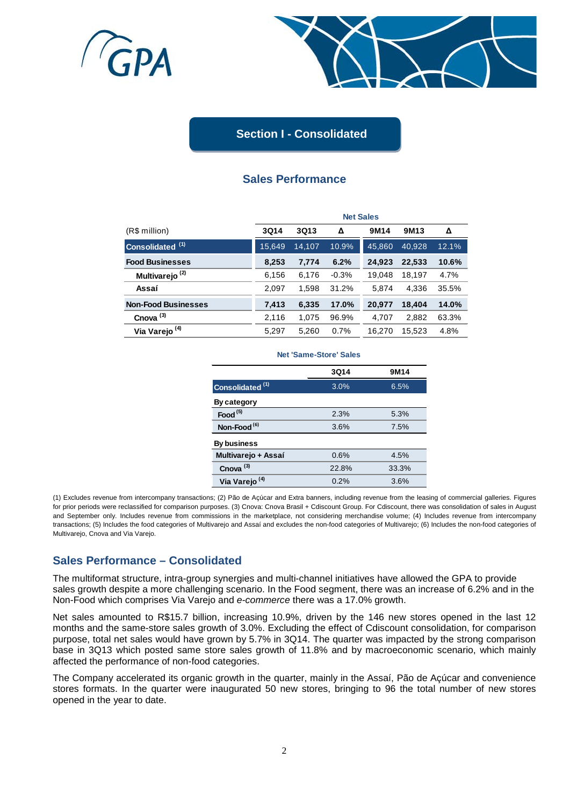



# **Section I - Consolidated**

# **Sales Performance**

|                             | <b>Net Sales</b> |        |         |                  |                  |       |  |
|-----------------------------|------------------|--------|---------|------------------|------------------|-------|--|
| (R\$ million)               | <b>3Q14</b>      | 3Q13   | Δ       | 9M <sub>14</sub> | 9M <sub>13</sub> | Δ     |  |
| Consolidated <sup>(1)</sup> | 15.649           | 14.107 | 10.9%   | 45.860           | 40.928           | 12.1% |  |
| <b>Food Businesses</b>      | 8,253            | 7,774  | 6.2%    | 24,923           | 22,533           | 10.6% |  |
| Multivarejo <sup>(2)</sup>  | 6,156            | 6,176  | $-0.3%$ | 19,048           | 18,197           | 4.7%  |  |
| Assaí                       | 2,097            | 1,598  | 31.2%   | 5,874            | 4.336            | 35.5% |  |
| <b>Non-Food Businesses</b>  | 7,413            | 6,335  | 17.0%   | 20,977           | 18,404           | 14.0% |  |
| Cnova $(3)$                 | 2,116            | 1,075  | 96.9%   | 4,707            | 2,882            | 63.3% |  |
| Via Varejo <sup>(4)</sup>   | 5,297            | 5.260  | 0.7%    | 16.270           | 15.523           | 4.8%  |  |

#### **Net 'Same-Store' Sales**

|                             | 3Q14  | 9M14  |
|-----------------------------|-------|-------|
| Consolidated <sup>(1)</sup> | 3.0%  | 6.5%  |
| By category                 |       |       |
| Food $(5)$                  | 2.3%  | 5.3%  |
| Non-Food <sup>(6)</sup>     | 3.6%  | 7.5%  |
| By business                 |       |       |
| Multivarejo + Assaí         | 0.6%  | 4.5%  |
| Cnova <sup>(3)</sup>        | 22.8% | 33.3% |
| Via Varejo <sup>(4)</sup>   | 0.2%  | 3.6%  |

(1) Excludes revenue from intercompany transactions; (2) Pão de Açúcar and Extra banners, including revenue from the leasing of commercial galleries. Figures for prior periods were reclassified for comparison purposes. (3) Cnova: Cnova Brasil + Cdiscount Group. For Cdiscount, there was consolidation of sales in August and September only. Includes revenue from commissions in the marketplace, not considering merchandise volume; (4) Includes revenue from intercompany transactions; (5) Includes the food categories of Multivarejo and Assaí and excludes the non-food categories of Multivarejo; (6) Includes the non-food categories of Multivarejo, Cnova and Via Varejo.

## **Sales Performance – Consolidated**

The multiformat structure, intra-group synergies and multi-channel initiatives have allowed the GPA to provide sales growth despite a more challenging scenario. In the Food segment, there was an increase of 6.2% and in the Non-Food which comprises Via Varejo and *e-commerce* there was a 17.0% growth.

Net sales amounted to R\$15.7 billion, increasing 10.9%, driven by the 146 new stores opened in the last 12 months and the same-store sales growth of 3.0%. Excluding the effect of Cdiscount consolidation, for comparison purpose, total net sales would have grown by 5.7% in 3Q14. The quarter was impacted by the strong comparison base in 3Q13 which posted same store sales growth of 11.8% and by macroeconomic scenario, which mainly affected the performance of non-food categories.

The Company accelerated its organic growth in the quarter, mainly in the Assaí, Pão de Açúcar and convenience stores formats. In the quarter were inaugurated 50 new stores, bringing to 96 the total number of new stores opened in the year to date.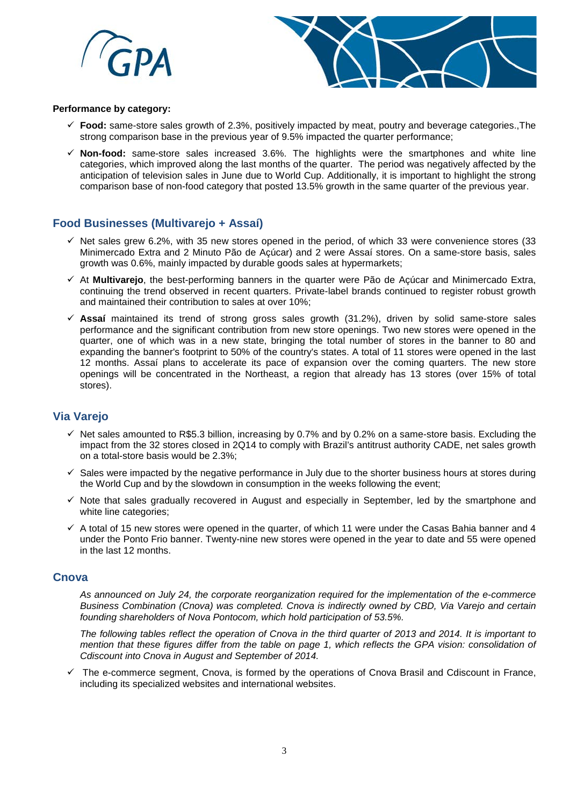



#### **Performance by category:**

- **Food:** same-store sales growth of 2.3%, positively impacted by meat, poutry and beverage categories.,The strong comparison base in the previous year of 9.5% impacted the quarter performance;
- **Non-food:** same-store sales increased 3.6%. The highlights were the smartphones and white line categories, which improved along the last months of the quarter. The period was negatively affected by the anticipation of television sales in June due to World Cup. Additionally, it is important to highlight the strong comparison base of non-food category that posted 13.5% growth in the same quarter of the previous year.

# **Food Businesses (Multivarejo + Assaí)**

- $\checkmark$  Net sales grew 6.2%, with 35 new stores opened in the period, of which 33 were convenience stores (33 Minimercado Extra and 2 Minuto Pão de Açúcar) and 2 were Assaí stores. On a same-store basis, sales growth was 0.6%, mainly impacted by durable goods sales at hypermarkets;
- At **Multivarejo**, the best-performing banners in the quarter were Pão de Açúcar and Minimercado Extra, continuing the trend observed in recent quarters. Private-label brands continued to register robust growth and maintained their contribution to sales at over 10%;
- $\checkmark$  Assaí maintained its trend of strong gross sales growth (31.2%), driven by solid same-store sales performance and the significant contribution from new store openings. Two new stores were opened in the quarter, one of which was in a new state, bringing the total number of stores in the banner to 80 and expanding the banner's footprint to 50% of the country's states. A total of 11 stores were opened in the last 12 months. Assaí plans to accelerate its pace of expansion over the coming quarters. The new store openings will be concentrated in the Northeast, a region that already has 13 stores (over 15% of total stores).

# **Via Varejo**

- $\checkmark$  Net sales amounted to R\$5.3 billion, increasing by 0.7% and by 0.2% on a same-store basis. Excluding the impact from the 32 stores closed in 2Q14 to comply with Brazil's antitrust authority CADE, net sales growth on a total-store basis would be 2.3%;
- $\checkmark$  Sales were impacted by the negative performance in July due to the shorter business hours at stores during the World Cup and by the slowdown in consumption in the weeks following the event;
- $\checkmark$  Note that sales gradually recovered in August and especially in September, led by the smartphone and white line categories;
- $\checkmark$  A total of 15 new stores were opened in the quarter, of which 11 were under the Casas Bahia banner and 4 under the Ponto Frio banner. Twenty-nine new stores were opened in the year to date and 55 were opened in the last 12 months.

## **Cnova**

*As announced on July 24, the corporate reorganization required for the implementation of the e-commerce Business Combination (Cnova) was completed. Cnova is indirectly owned by CBD, Via Varejo and certain founding shareholders of Nova Pontocom, which hold participation of 53.5%.* 

*The following tables reflect the operation of Cnova in the third quarter of 2013 and 2014. It is important to mention that these figures differ from the table on page 1, which reflects the GPA vision: consolidation of Cdiscount into Cnova in August and September of 2014.* 

 $\checkmark$  The e-commerce segment, Cnova, is formed by the operations of Cnova Brasil and Cdiscount in France, including its specialized websites and international websites.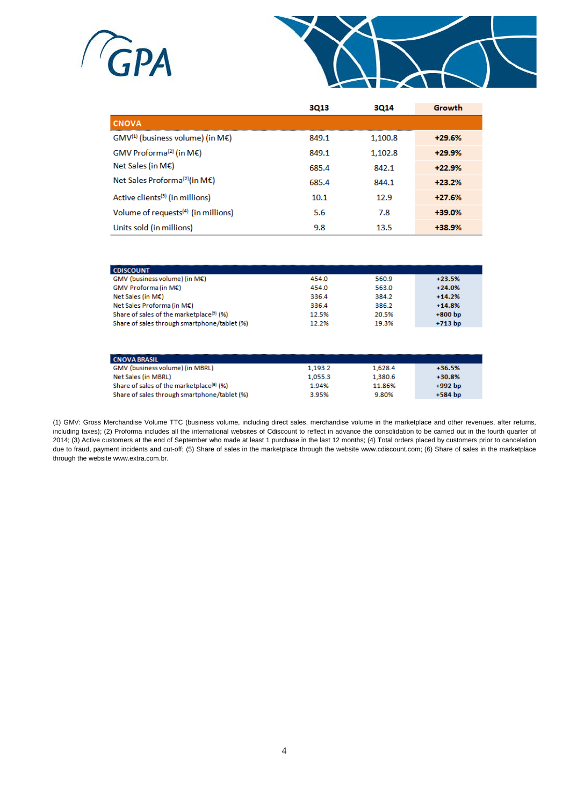



|                                                 | 3013  | 3014    | Growth   |
|-------------------------------------------------|-------|---------|----------|
| <b>CNOVA</b>                                    |       |         |          |
| $GMV^{(1)}$ (business volume) (in ME)           | 849.1 | 1.100.8 | $+29.6%$ |
| GMV Proforma <sup>(2)</sup> (in ME)             | 849.1 | 1.102.8 | $+29.9%$ |
| Net Sales (in M€)                               | 685.4 | 842.1   | $+22.9%$ |
| Net Sales Proforma <sup>(2)</sup> (in M€)       | 685.4 | 844.1   | $+23.2%$ |
| Active clients <sup>(3)</sup> (in millions)     | 10.1  | 12.9    | $+27.6%$ |
| Volume of requests <sup>(4)</sup> (in millions) | 5.6   | 7.8     | $+39.0%$ |
| Units sold (in millions)                        | 9.8   | 13.5    | +38.9%   |

| <b>CDISCOUNT</b>                                     |       |       |           |
|------------------------------------------------------|-------|-------|-----------|
| GMV (business volume) (in M€)                        | 454.0 | 560.9 | $+23.5%$  |
| GMV Proforma (in M€)                                 | 454.0 | 563.0 | $+24.0%$  |
| Net Sales (in $M\epsilon$ )                          | 336.4 | 384.2 | $+14.2%$  |
| Net Sales Proforma (in M€)                           | 336.4 | 386.2 | $+14.8%$  |
| Share of sales of the marketplace <sup>(3)</sup> (%) | 12.5% | 20.5% | $+800$ bp |
| Share of sales through smartphone/tablet (%)         | 12.2% | 19.3% | $+713$ bp |

| <b>CNOVA BRASIL</b>                                  |         |         |           |
|------------------------------------------------------|---------|---------|-----------|
| GMV (business volume) (in MBRL)                      | 1.193.2 | 1,628.4 | $+36.5%$  |
| Net Sales (in MBRL)                                  | 1,055.3 | 1,380.6 | $+30.8%$  |
| Share of sales of the marketplace <sup>(6)</sup> (%) | 1.94%   | 11.86%  | $+992$ bp |
| Share of sales through smartphone/tablet (%)         | 3.95%   | 9.80%   | $+584$ bp |

(1) GMV: Gross Merchandise Volume TTC (business volume, including direct sales, merchandise volume in the marketplace and other revenues, after returns, including taxes); (2) Proforma includes all the international websites of Cdiscount to reflect in advance the consolidation to be carried out in the fourth quarter of 2014; (3) Active customers at the end of September who made at least 1 purchase in the last 12 months; (4) Total orders placed by customers prior to cancelation due to fraud, payment incidents and cut-off; (5) Share of sales in the marketplace through the website www.cdiscount.com; (6) Share of sales in the marketplace through the website www.extra.com.br.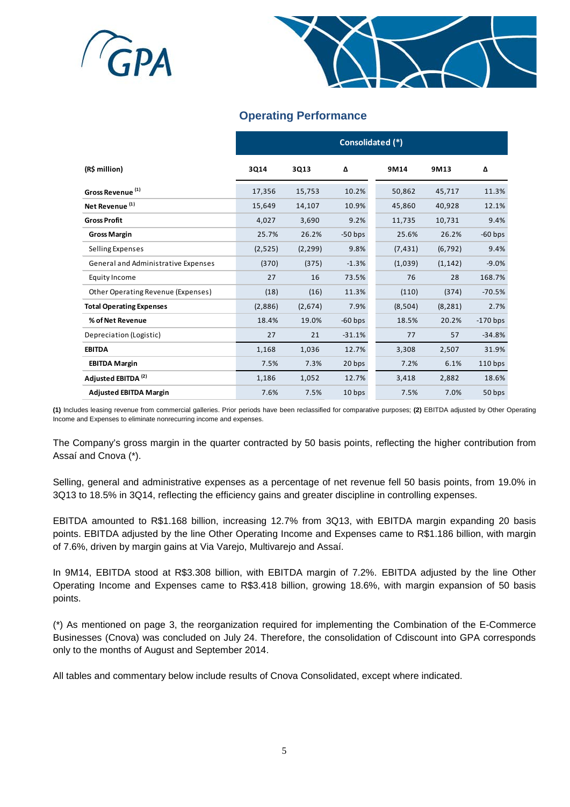



# **Operating Performance**

|                                     | Consolidated (*) |          |           |          |          |            |  |
|-------------------------------------|------------------|----------|-----------|----------|----------|------------|--|
| (R\$ million)                       | 3Q14             | 3Q13     | Δ         | 9M14     | 9M13     | Δ          |  |
| Gross Revenue <sup>(1)</sup>        | 17,356           | 15,753   | 10.2%     | 50,862   | 45,717   | 11.3%      |  |
| Net Revenue <sup>(1)</sup>          | 15,649           | 14,107   | 10.9%     | 45,860   | 40,928   | 12.1%      |  |
| <b>Gross Profit</b>                 | 4,027            | 3,690    | 9.2%      | 11,735   | 10,731   | 9.4%       |  |
| <b>Gross Margin</b>                 | 25.7%            | 26.2%    | $-50$ bps | 25.6%    | 26.2%    | $-60$ bps  |  |
| Selling Expenses                    | (2,525)          | (2, 299) | 9.8%      | (7, 431) | (6, 792) | 9.4%       |  |
| General and Administrative Expenses | (370)            | (375)    | $-1.3%$   | (1,039)  | (1, 142) | $-9.0%$    |  |
| Equity Income                       | 27               | 16       | 73.5%     | 76       | 28       | 168.7%     |  |
| Other Operating Revenue (Expenses)  | (18)             | (16)     | 11.3%     | (110)    | (374)    | $-70.5%$   |  |
| <b>Total Operating Expenses</b>     | (2,886)          | (2,674)  | 7.9%      | (8,504)  | (8, 281) | 2.7%       |  |
| % of Net Revenue                    | 18.4%            | 19.0%    | $-60$ bps | 18.5%    | 20.2%    | $-170$ bps |  |
| Depreciation (Logistic)             | 27               | 21       | $-31.1%$  | 77       | 57       | $-34.8%$   |  |
| <b>EBITDA</b>                       | 1,168            | 1,036    | 12.7%     | 3,308    | 2,507    | 31.9%      |  |
| <b>EBITDA Margin</b>                | 7.5%             | 7.3%     | 20 bps    | 7.2%     | 6.1%     | $110$ bps  |  |
| Adjusted EBITDA <sup>(2)</sup>      | 1,186            | 1,052    | 12.7%     | 3,418    | 2,882    | 18.6%      |  |
| <b>Adjusted EBITDA Margin</b>       | 7.6%             | 7.5%     | 10 bps    | 7.5%     | 7.0%     | 50 bps     |  |

**(1)** Includes leasing revenue from commercial galleries. Prior periods have been reclassified for comparative purposes; **(2)** EBITDA adjusted by Other Operating Income and Expenses to eliminate nonrecurring income and expenses.

The Company's gross margin in the quarter contracted by 50 basis points, reflecting the higher contribution from Assaí and Cnova (\*).

Selling, general and administrative expenses as a percentage of net revenue fell 50 basis points, from 19.0% in 3Q13 to 18.5% in 3Q14, reflecting the efficiency gains and greater discipline in controlling expenses.

EBITDA amounted to R\$1.168 billion, increasing 12.7% from 3Q13, with EBITDA margin expanding 20 basis points. EBITDA adjusted by the line Other Operating Income and Expenses came to R\$1.186 billion, with margin of 7.6%, driven by margin gains at Via Varejo, Multivarejo and Assaí.

In 9M14, EBITDA stood at R\$3.308 billion, with EBITDA margin of 7.2%. EBITDA adjusted by the line Other Operating Income and Expenses came to R\$3.418 billion, growing 18.6%, with margin expansion of 50 basis points.

(\*) As mentioned on page 3, the reorganization required for implementing the Combination of the E-Commerce Businesses (Cnova) was concluded on July 24. Therefore, the consolidation of Cdiscount into GPA corresponds only to the months of August and September 2014.

All tables and commentary below include results of Cnova Consolidated, except where indicated.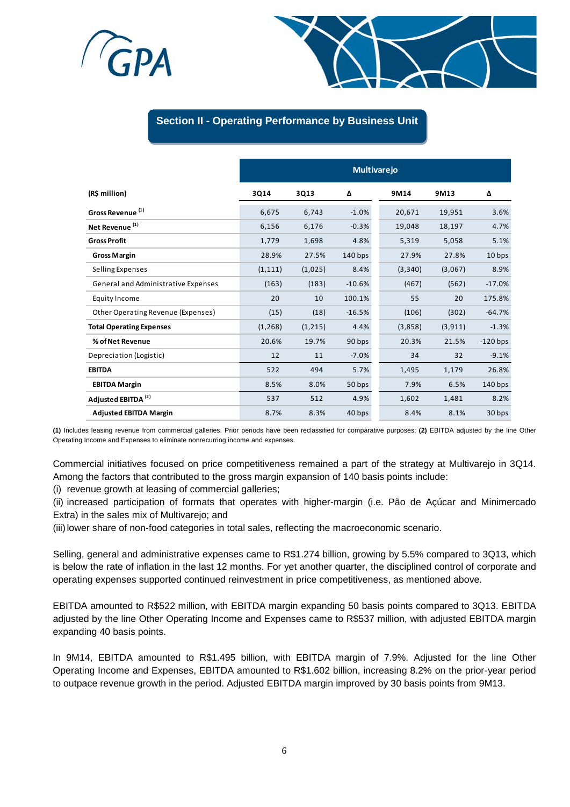



## **Section II - Operating Performance by Business Unit**

|                                     | <b>Multivarejo</b> |         |           |          |          |            |  |
|-------------------------------------|--------------------|---------|-----------|----------|----------|------------|--|
| (R\$ million)                       | 3Q14               | 3Q13    | Δ         | 9M14     | 9M13     | Δ          |  |
| Gross Revenue <sup>(1)</sup>        | 6,675              | 6,743   | $-1.0%$   | 20,671   | 19,951   | 3.6%       |  |
| Net Revenue <sup>(1)</sup>          | 6,156              | 6,176   | $-0.3%$   | 19,048   | 18,197   | 4.7%       |  |
| <b>Gross Profit</b>                 | 1,779              | 1,698   | 4.8%      | 5,319    | 5,058    | 5.1%       |  |
| <b>Gross Margin</b>                 | 28.9%              | 27.5%   | $140$ bps | 27.9%    | 27.8%    | 10 bps     |  |
| Selling Expenses                    | (1, 111)           | (1,025) | 8.4%      | (3, 340) | (3,067)  | 8.9%       |  |
| General and Administrative Expenses | (163)              | (183)   | $-10.6%$  | (467)    | (562)    | $-17.0%$   |  |
| Equity Income                       | 20                 | 10      | 100.1%    | 55       | 20       | 175.8%     |  |
| Other Operating Revenue (Expenses)  | (15)               | (18)    | $-16.5%$  | (106)    | (302)    | $-64.7%$   |  |
| <b>Total Operating Expenses</b>     | (1, 268)           | (1,215) | 4.4%      | (3,858)  | (3, 911) | $-1.3%$    |  |
| % of Net Revenue                    | 20.6%              | 19.7%   | 90 bps    | 20.3%    | 21.5%    | $-120$ bps |  |
| Depreciation (Logistic)             | 12                 | 11      | $-7.0%$   | 34       | 32       | $-9.1%$    |  |
| <b>EBITDA</b>                       | 522                | 494     | 5.7%      | 1,495    | 1,179    | 26.8%      |  |
| <b>EBITDA Margin</b>                | 8.5%               | 8.0%    | 50 bps    | 7.9%     | 6.5%     | $140$ bps  |  |
| Adjusted EBITDA <sup>(2)</sup>      | 537                | 512     | 4.9%      | 1,602    | 1,481    | 8.2%       |  |
| <b>Adjusted EBITDA Margin</b>       | 8.7%               | 8.3%    | 40 bps    | 8.4%     | 8.1%     | 30 bps     |  |

**(1)** Includes leasing revenue from commercial galleries. Prior periods have been reclassified for comparative purposes; **(2)** EBITDA adjusted by the line Other Operating Income and Expenses to eliminate nonrecurring income and expenses.

Commercial initiatives focused on price competitiveness remained a part of the strategy at Multivarejo in 3Q14. Among the factors that contributed to the gross margin expansion of 140 basis points include:

(i) revenue growth at leasing of commercial galleries;

(ii) increased participation of formats that operates with higher-margin (i.e. Pão de Açúcar and Minimercado Extra) in the sales mix of Multivarejo; and

(iii)lower share of non-food categories in total sales, reflecting the macroeconomic scenario.

Selling, general and administrative expenses came to R\$1.274 billion, growing by 5.5% compared to 3Q13, which is below the rate of inflation in the last 12 months. For yet another quarter, the disciplined control of corporate and operating expenses supported continued reinvestment in price competitiveness, as mentioned above.

EBITDA amounted to R\$522 million, with EBITDA margin expanding 50 basis points compared to 3Q13. EBITDA adjusted by the line Other Operating Income and Expenses came to R\$537 million, with adjusted EBITDA margin expanding 40 basis points.

In 9M14, EBITDA amounted to R\$1.495 billion, with EBITDA margin of 7.9%. Adjusted for the line Other Operating Income and Expenses, EBITDA amounted to R\$1.602 billion, increasing 8.2% on the prior-year period to outpace revenue growth in the period. Adjusted EBITDA margin improved by 30 basis points from 9M13.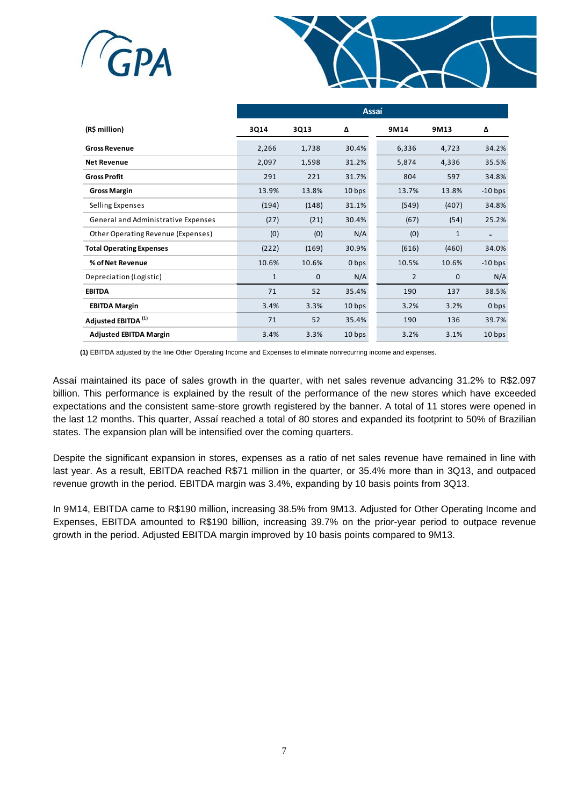



|                                     | Assaí        |       |                   |                |              |                |  |
|-------------------------------------|--------------|-------|-------------------|----------------|--------------|----------------|--|
| (R\$ million)                       | 3Q14         | 3Q13  | Δ                 | 9M14           | 9M13         | Δ              |  |
| <b>Gross Revenue</b>                | 2,266        | 1,738 | 30.4%             | 6,336          | 4,723        | 34.2%          |  |
| <b>Net Revenue</b>                  | 2,097        | 1,598 | 31.2%             | 5,874          | 4,336        | 35.5%          |  |
| <b>Gross Profit</b>                 | 291          | 221   | 31.7%             | 804            | 597          | 34.8%          |  |
| <b>Gross Margin</b>                 | 13.9%        | 13.8% | 10 <sub>bps</sub> | 13.7%          | 13.8%        | $-10$ bps      |  |
| Selling Expenses                    | (194)        | (148) | 31.1%             | (549)          | (407)        | 34.8%          |  |
| General and Administrative Expenses | (27)         | (21)  | 30.4%             | (67)           | (54)         | 25.2%          |  |
| Other Operating Revenue (Expenses)  | (0)          | (0)   | N/A               | (0)            | $\mathbf{1}$ | $\overline{a}$ |  |
| <b>Total Operating Expenses</b>     | (222)        | (169) | 30.9%             | (616)          | (460)        | 34.0%          |  |
| % of Net Revenue                    | 10.6%        | 10.6% | 0 bps             | 10.5%          | 10.6%        | $-10$ bps      |  |
| Depreciation (Logistic)             | $\mathbf{1}$ | 0     | N/A               | $\overline{2}$ | $\mathbf{0}$ | N/A            |  |
| <b>EBITDA</b>                       | 71           | 52    | 35.4%             | 190            | 137          | 38.5%          |  |
| <b>EBITDA Margin</b>                | 3.4%         | 3.3%  | 10 bps            | 3.2%           | 3.2%         | 0 bps          |  |
| Adjusted EBITDA <sup>(1)</sup>      | 71           | 52    | 35.4%             | 190            | 136          | 39.7%          |  |
| <b>Adjusted EBITDA Margin</b>       | 3.4%         | 3.3%  | 10 <sub>bps</sub> | 3.2%           | 3.1%         | 10 bps         |  |

**(1)** EBITDA adjusted by the line Other Operating Income and Expenses to eliminate nonrecurring income and expenses.

Assaí maintained its pace of sales growth in the quarter, with net sales revenue advancing 31.2% to R\$2.097 billion. This performance is explained by the result of the performance of the new stores which have exceeded expectations and the consistent same-store growth registered by the banner. A total of 11 stores were opened in the last 12 months. This quarter, Assaí reached a total of 80 stores and expanded its footprint to 50% of Brazilian states. The expansion plan will be intensified over the coming quarters.

Despite the significant expansion in stores, expenses as a ratio of net sales revenue have remained in line with last year. As a result, EBITDA reached R\$71 million in the quarter, or 35.4% more than in 3Q13, and outpaced revenue growth in the period. EBITDA margin was 3.4%, expanding by 10 basis points from 3Q13.

In 9M14, EBITDA came to R\$190 million, increasing 38.5% from 9M13. Adjusted for Other Operating Income and Expenses, EBITDA amounted to R\$190 billion, increasing 39.7% on the prior-year period to outpace revenue growth in the period. Adjusted EBITDA margin improved by 10 basis points compared to 9M13.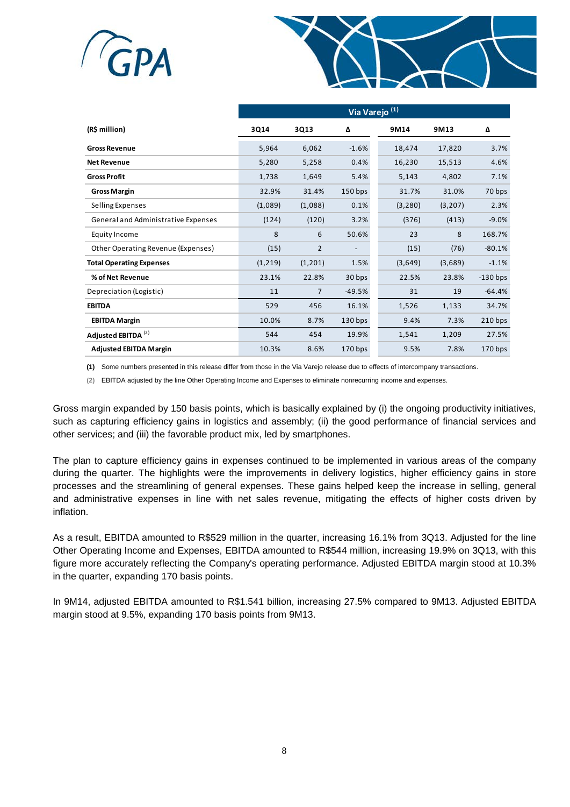



|                                     | Via Varejo <sup>(1)</sup> |                |           |          |          |            |  |
|-------------------------------------|---------------------------|----------------|-----------|----------|----------|------------|--|
| (R\$ million)                       | 3Q14                      | 3Q13           | Δ         | 9M14     | 9M13     | Δ          |  |
| <b>Gross Revenue</b>                | 5,964                     | 6,062          | $-1.6%$   | 18,474   | 17,820   | 3.7%       |  |
| <b>Net Revenue</b>                  | 5,280                     | 5,258          | 0.4%      | 16,230   | 15,513   | 4.6%       |  |
| <b>Gross Profit</b>                 | 1,738                     | 1,649          | 5.4%      | 5,143    | 4,802    | 7.1%       |  |
| <b>Gross Margin</b>                 | 32.9%                     | 31.4%          | $150$ bps | 31.7%    | 31.0%    | 70 bps     |  |
| Selling Expenses                    | (1,089)                   | (1,088)        | 0.1%      | (3, 280) | (3, 207) | 2.3%       |  |
| General and Administrative Expenses | (124)                     | (120)          | 3.2%      | (376)    | (413)    | $-9.0%$    |  |
| Equity Income                       | 8                         | 6              | 50.6%     | 23       | 8        | 168.7%     |  |
| Other Operating Revenue (Expenses)  | (15)                      | $\overline{2}$ |           | (15)     | (76)     | $-80.1%$   |  |
| <b>Total Operating Expenses</b>     | (1, 219)                  | (1,201)        | 1.5%      | (3,649)  | (3,689)  | $-1.1%$    |  |
| % of Net Revenue                    | 23.1%                     | 22.8%          | 30 bps    | 22.5%    | 23.8%    | $-130$ bps |  |
| Depreciation (Logistic)             | 11                        | $\overline{7}$ | $-49.5%$  | 31       | 19       | $-64.4%$   |  |
| <b>EBITDA</b>                       | 529                       | 456            | 16.1%     | 1,526    | 1,133    | 34.7%      |  |
| <b>EBITDA Margin</b>                | 10.0%                     | 8.7%           | $130$ bps | 9.4%     | 7.3%     | $210$ bps  |  |
| Adjusted EBITDA <sup>(2)</sup>      | 544                       | 454            | 19.9%     | 1,541    | 1,209    | 27.5%      |  |
| <b>Adjusted EBITDA Margin</b>       | 10.3%                     | 8.6%           | $170$ bps | 9.5%     | 7.8%     | $170$ bps  |  |

**(1)** Some numbers presented in this release differ from those in the Via Varejo release due to effects of intercompany transactions.

**(2)** EBITDA adjusted by the line Other Operating Income and Expenses to eliminate nonrecurring income and expenses.

Gross margin expanded by 150 basis points, which is basically explained by (i) the ongoing productivity initiatives, such as capturing efficiency gains in logistics and assembly; (ii) the good performance of financial services and other services; and (iii) the favorable product mix, led by smartphones.

The plan to capture efficiency gains in expenses continued to be implemented in various areas of the company during the quarter. The highlights were the improvements in delivery logistics, higher efficiency gains in store processes and the streamlining of general expenses. These gains helped keep the increase in selling, general and administrative expenses in line with net sales revenue, mitigating the effects of higher costs driven by inflation.

As a result, EBITDA amounted to R\$529 million in the quarter, increasing 16.1% from 3Q13. Adjusted for the line Other Operating Income and Expenses, EBITDA amounted to R\$544 million, increasing 19.9% on 3Q13, with this figure more accurately reflecting the Company's operating performance. Adjusted EBITDA margin stood at 10.3% in the quarter, expanding 170 basis points.

In 9M14, adjusted EBITDA amounted to R\$1.541 billion, increasing 27.5% compared to 9M13. Adjusted EBITDA margin stood at 9.5%, expanding 170 basis points from 9M13.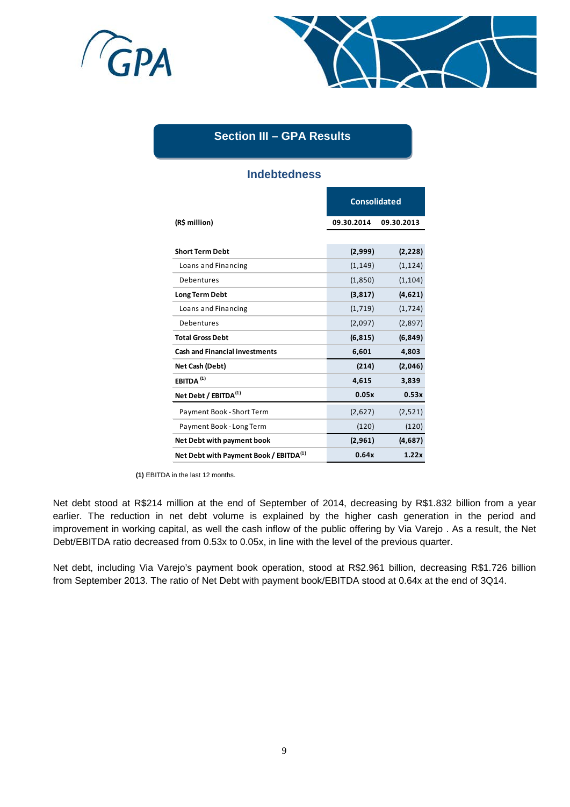



# **Section III – GPA Results**

# **Indebtedness**

|                                                    | <b>Consolidated</b> |            |  |  |
|----------------------------------------------------|---------------------|------------|--|--|
| (R\$ million)                                      | 09.30.2014          | 09.30.2013 |  |  |
|                                                    |                     |            |  |  |
| <b>Short Term Debt</b>                             | (2,999)             | (2, 228)   |  |  |
| Loans and Financing                                | (1, 149)            | (1, 124)   |  |  |
| Debentures                                         | (1,850)             | (1, 104)   |  |  |
| <b>Long Term Debt</b>                              | (3, 817)            | (4,621)    |  |  |
| Loans and Financing                                | (1,719)             | (1,724)    |  |  |
| Debentures                                         | (2,097)             | (2,897)    |  |  |
| <b>Total Gross Debt</b>                            | (6, 815)            | (6, 849)   |  |  |
| <b>Cash and Financial investments</b>              | 6,601               | 4,803      |  |  |
| Net Cash (Debt)                                    | (214)               | (2,046)    |  |  |
| EBITDA $(1)$                                       | 4,615               | 3,839      |  |  |
| Net Debt / EBITDA <sup>(1)</sup>                   | 0.05x               | 0.53x      |  |  |
| Payment Book - Short Term                          | (2,627)             | (2,521)    |  |  |
| Payment Book - Long Term                           | (120)               | (120)      |  |  |
| Net Debt with payment book                         | (2,961)             | (4,687)    |  |  |
| Net Debt with Payment Book / EBITDA <sup>(1)</sup> | 0.64x               | 1.22x      |  |  |

**(1)** EBITDA in the last 12 months.

Net debt stood at R\$214 million at the end of September of 2014, decreasing by R\$1.832 billion from a year earlier. The reduction in net debt volume is explained by the higher cash generation in the period and improvement in working capital, as well the cash inflow of the public offering by Via Varejo . As a result, the Net Debt/EBITDA ratio decreased from 0.53x to 0.05x, in line with the level of the previous quarter.

Net debt, including Via Varejo's payment book operation, stood at R\$2.961 billion, decreasing R\$1.726 billion from September 2013. The ratio of Net Debt with payment book/EBITDA stood at 0.64x at the end of 3Q14.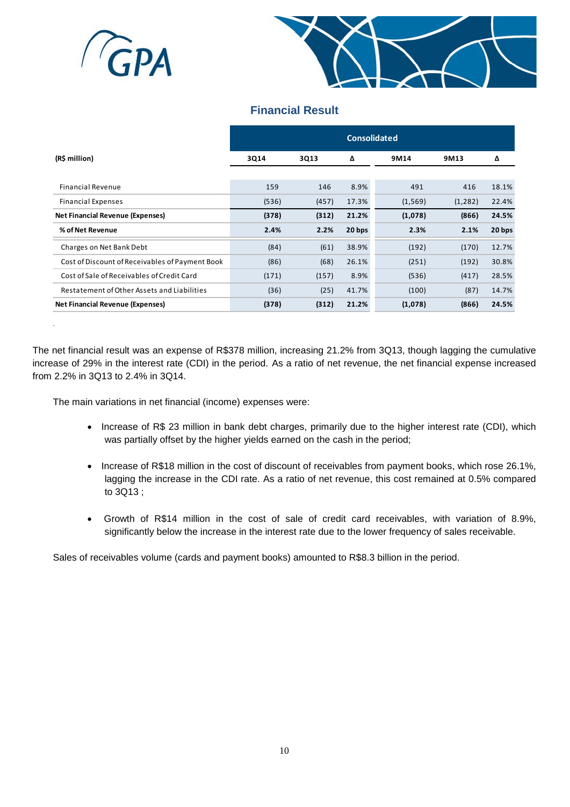

.



# **Financial Result**

|                                                 | <b>Consolidated</b> |       |        |          |          |        |  |
|-------------------------------------------------|---------------------|-------|--------|----------|----------|--------|--|
| (R\$ million)                                   | 3Q14                | 3Q13  | Δ      | 9M14     | 9M13     | Δ      |  |
|                                                 |                     |       |        |          |          |        |  |
| <b>Financial Revenue</b>                        | 159                 | 146   | 8.9%   | 491      | 416      | 18.1%  |  |
| <b>Financial Expenses</b>                       | (536)               | (457) | 17.3%  | (1, 569) | (1, 282) | 22.4%  |  |
| <b>Net Financial Revenue (Expenses)</b>         | (378)               | (312) | 21.2%  | (1,078)  | (866)    | 24.5%  |  |
| % of Net Revenue                                | 2.4%                | 2.2%  | 20 bps | 2.3%     | 2.1%     | 20 bps |  |
| Charges on Net Bank Debt                        | (84)                | (61)  | 38.9%  | (192)    | (170)    | 12.7%  |  |
| Cost of Discount of Receivables of Payment Book | (86)                | (68)  | 26.1%  | (251)    | (192)    | 30.8%  |  |
| Cost of Sale of Receivables of Credit Card      | (171)               | (157) | 8.9%   | (536)    | (417)    | 28.5%  |  |
| Restatement of Other Assets and Liabilities     | (36)                | (25)  | 41.7%  | (100)    | (87)     | 14.7%  |  |
| <b>Net Financial Revenue (Expenses)</b>         | (378)               | (312) | 21.2%  | (1,078)  | (866)    | 24.5%  |  |

The net financial result was an expense of R\$378 million, increasing 21.2% from 3Q13, though lagging the cumulative increase of 29% in the interest rate (CDI) in the period. As a ratio of net revenue, the net financial expense increased from 2.2% in 3Q13 to 2.4% in 3Q14.

The main variations in net financial (income) expenses were:

- Increase of R\$ 23 million in bank debt charges, primarily due to the higher interest rate (CDI), which was partially offset by the higher yields earned on the cash in the period;
- Increase of R\$18 million in the cost of discount of receivables from payment books, which rose 26.1%, lagging the increase in the CDI rate. As a ratio of net revenue, this cost remained at 0.5% compared to 3Q13 ;
- Growth of R\$14 million in the cost of sale of credit card receivables, with variation of 8.9%, significantly below the increase in the interest rate due to the lower frequency of sales receivable.

Sales of receivables volume (cards and payment books) amounted to R\$8.3 billion in the period.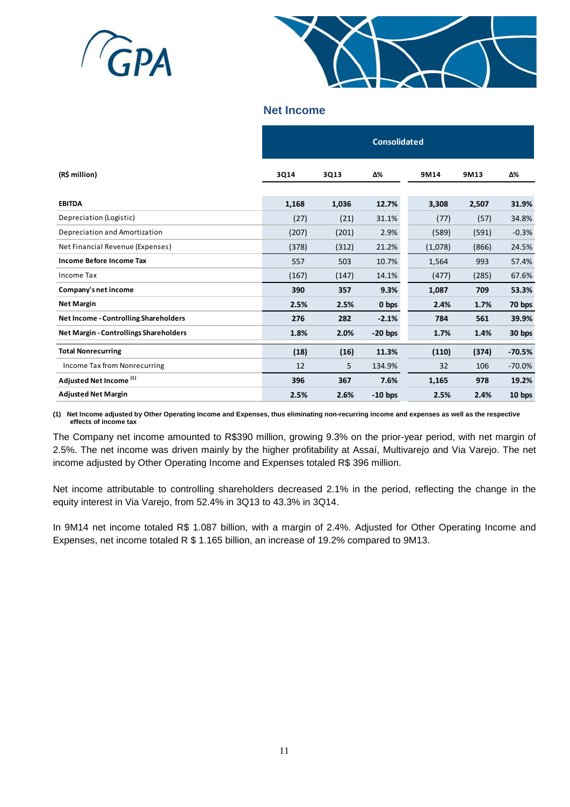



## **Net Income**

|                                              |       |       | <b>Consolidated</b> |         |       |          |  |  |  |  |  |  |  |  |
|----------------------------------------------|-------|-------|---------------------|---------|-------|----------|--|--|--|--|--|--|--|--|
| (R\$ million)                                | 3Q14  | 3Q13  | Δ%                  | 9M14    | 9M13  | Δ%       |  |  |  |  |  |  |  |  |
| <b>EBITDA</b>                                | 1,168 | 1,036 | 12.7%               | 3,308   | 2,507 | 31.9%    |  |  |  |  |  |  |  |  |
| Depreciation (Logistic)                      | (27)  | (21)  | 31.1%               | (77)    | (57)  | 34.8%    |  |  |  |  |  |  |  |  |
| Depreciation and Amortization                | (207) | (201) | 2.9%                | (589)   | (591) | $-0.3%$  |  |  |  |  |  |  |  |  |
| Net Financial Revenue (Expenses)             | (378) | (312) | 21.2%               | (1,078) | (866) | 24.5%    |  |  |  |  |  |  |  |  |
| <b>Income Before Income Tax</b>              | 557   | 503   | 10.7%               | 1,564   | 993   | 57.4%    |  |  |  |  |  |  |  |  |
| Income Tax                                   | (167) | (147) | 14.1%               | (477)   | (285) | 67.6%    |  |  |  |  |  |  |  |  |
| Company's net income                         | 390   | 357   | 9.3%                | 1,087   | 709   | 53.3%    |  |  |  |  |  |  |  |  |
| <b>Net Margin</b>                            | 2.5%  | 2.5%  | 0 bps               | 2.4%    | 1.7%  | 70 bps   |  |  |  |  |  |  |  |  |
| <b>Net Income - Controlling Shareholders</b> | 276   | 282   | $-2.1%$             | 784     | 561   | 39.9%    |  |  |  |  |  |  |  |  |
| Net Margin - Controllings Shareholders       | 1.8%  | 2.0%  | $-20$ bps           | 1.7%    | 1.4%  | 30 bps   |  |  |  |  |  |  |  |  |
| <b>Total Nonrecurring</b>                    | (18)  | (16)  | 11.3%               | (110)   | (374) | $-70.5%$ |  |  |  |  |  |  |  |  |
| Income Tax from Nonrecurring                 | 12    | 5.    | 134.9%              | 32      | 106   | $-70.0%$ |  |  |  |  |  |  |  |  |
| Adjusted Net Income <sup>(1)</sup>           | 396   | 367   | 7.6%                | 1,165   | 978   | 19.2%    |  |  |  |  |  |  |  |  |
| <b>Adjusted Net Margin</b>                   | 2.5%  | 2.6%  | $-10$ bps           | 2.5%    | 2.4%  | 10 bps   |  |  |  |  |  |  |  |  |

**(1) Net Income adjusted by Other Operating Income and Expenses, thus eliminating non-recurring income and expenses as well as the respective effects of income tax**

The Company net income amounted to R\$390 million, growing 9.3% on the prior-year period, with net margin of 2.5%. The net income was driven mainly by the higher profitability at Assaí, Multivarejo and Via Varejo. The net income adjusted by Other Operating Income and Expenses totaled R\$ 396 million.

Net income attributable to controlling shareholders decreased 2.1% in the period, reflecting the change in the equity interest in Via Varejo, from 52.4% in 3Q13 to 43.3% in 3Q14.

In 9M14 net income totaled R\$ 1.087 billion, with a margin of 2.4%. Adjusted for Other Operating Income and Expenses, net income totaled R \$ 1.165 billion, an increase of 19.2% compared to 9M13.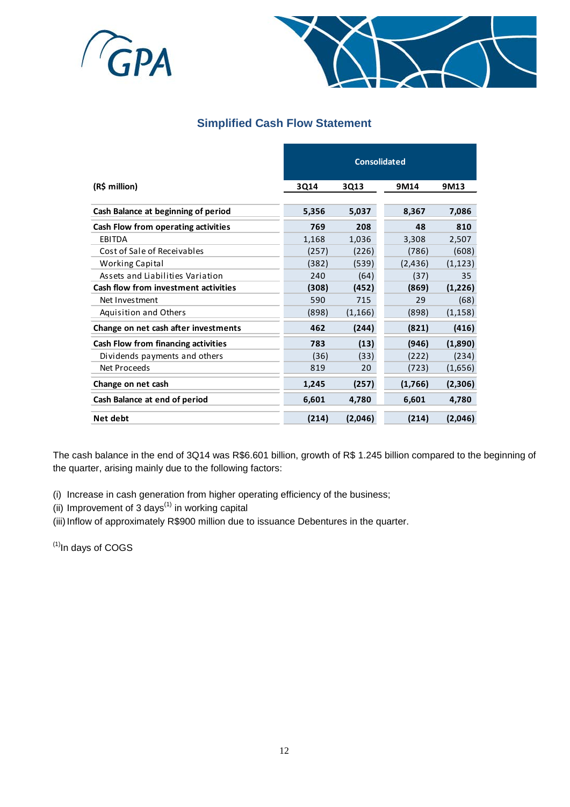



# **Simplified Cash Flow Statement**

|                                             | <b>Consolidated</b> |          |          |          |  |  |  |  |  |  |
|---------------------------------------------|---------------------|----------|----------|----------|--|--|--|--|--|--|
| (R\$ million)                               | 3Q14                | 3Q13     | 9M14     | 9M13     |  |  |  |  |  |  |
| Cash Balance at beginning of period         | 5,356               | 5,037    | 8,367    | 7,086    |  |  |  |  |  |  |
| Cash Flow from operating activities         | 769                 | 208      | 48       | 810      |  |  |  |  |  |  |
| <b>EBITDA</b>                               | 1,168               | 1,036    | 3,308    | 2,507    |  |  |  |  |  |  |
| Cost of Sale of Receivables                 | (257)               | (226)    | (786)    | (608)    |  |  |  |  |  |  |
| Working Capital                             | (382)               | (539)    | (2, 436) | (1, 123) |  |  |  |  |  |  |
| Assets and Liabilities Variation            | 240                 | (64)     | (37)     | 35       |  |  |  |  |  |  |
| <b>Cash flow from investment activities</b> | (308)               | (452)    | (869)    | (1,226)  |  |  |  |  |  |  |
| Net Investment                              | 590                 | 715      | 29       | (68)     |  |  |  |  |  |  |
| <b>Aquisition and Others</b>                | (898)               | (1, 166) | (898)    | (1, 158) |  |  |  |  |  |  |
| Change on net cash after investments        | 462                 | (244)    | (821)    | (416)    |  |  |  |  |  |  |
| Cash Flow from financing activities         | 783                 | (13)     | (946)    | (1,890)  |  |  |  |  |  |  |
| Dividends payments and others               | (36)                | (33)     | (222)    | (234)    |  |  |  |  |  |  |
| Net Proceeds                                | 819                 | 20       | (723)    | (1,656)  |  |  |  |  |  |  |
| Change on net cash                          | 1,245               | (257)    | (1,766)  | (2,306)  |  |  |  |  |  |  |
| Cash Balance at end of period               | 6,601               | 4,780    | 6,601    | 4,780    |  |  |  |  |  |  |
| Net debt                                    | (214)               | (2,046)  | (214)    | (2,046)  |  |  |  |  |  |  |

The cash balance in the end of 3Q14 was R\$6.601 billion, growth of R\$ 1.245 billion compared to the beginning of the quarter, arising mainly due to the following factors:

- (i) Increase in cash generation from higher operating efficiency of the business;
- (ii) Improvement of 3 days $<sup>(1)</sup>$  in working capital</sup>
- (iii) Inflow of approximately R\$900 million due to issuance Debentures in the quarter.

 $<sup>(1)</sup>$ In days of COGS</sup>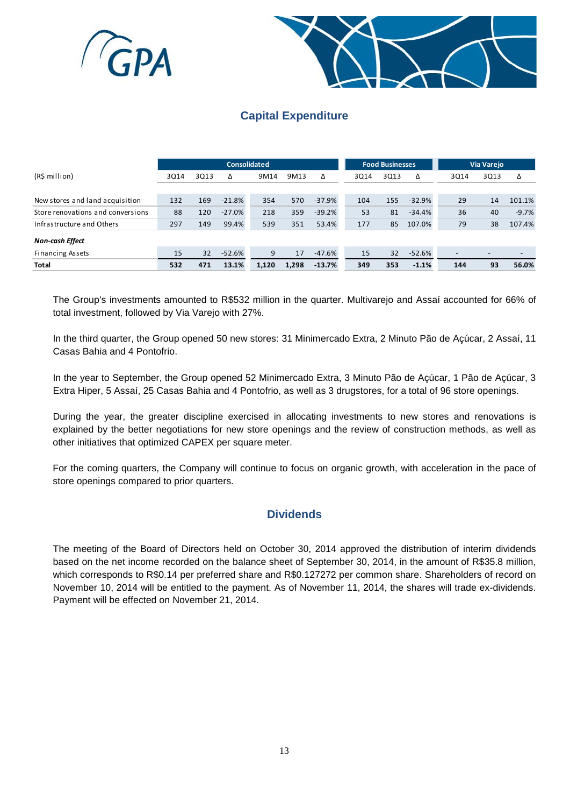



# **Capital Expenditure**

|                                   |      |      | <b>Consolidated</b> |       |       |          |      | <b>Food Businesses</b> |          | Via Varejo |      |         |
|-----------------------------------|------|------|---------------------|-------|-------|----------|------|------------------------|----------|------------|------|---------|
| (R\$ million)                     | 3Q14 | 3013 | Δ                   | 9M14  | 9M13  | Δ        | 3014 | 3013                   | Δ        | 3Q14       | 3Q13 | Δ       |
|                                   |      |      |                     |       |       |          |      |                        |          |            |      |         |
| New stores and land acquisition   | 132  | 169  | $-21.8%$            | 354   | 570   | $-37.9%$ | 104  | 155                    | $-32.9%$ | 29         | 14   | 101.1%  |
| Store renovations and conversions | 88   | 120  | $-27.0%$            | 218   | 359   | $-39.2%$ | 53   | 81                     | $-34.4%$ | 36         | 40   | $-9.7%$ |
| Infrastructure and Others         | 297  | 149  | 99.4%               | 539   | 351   | 53.4%    | 177  | 85                     | 107.0%   | 79         | 38   | 107.4%  |
| Non-cash Effect                   |      |      |                     |       |       |          |      |                        |          |            |      |         |
| <b>Financing Assets</b>           | 15   | 32   | $-52.6%$            | 9     | 17    | $-47.6%$ | 15   | 32                     | $-52.6%$ |            |      |         |
| <b>Total</b>                      | 532  | 471  | 13.1%               | 1,120 | 1.298 | $-13.7%$ | 349  | 353                    | $-1.1%$  | 144        | 93   | 56.0%   |

The Group's investments amounted to R\$532 million in the quarter. Multivarejo and Assaí accounted for 66% of total investment, followed by Via Varejo with 27%.

In the third quarter, the Group opened 50 new stores: 31 Minimercado Extra, 2 Minuto Pão de Açúcar, 2 Assaí, 11 Casas Bahia and 4 Pontofrio.

In the year to September, the Group opened 52 Minimercado Extra, 3 Minuto Pão de Açúcar, 1 Pão de Açúcar, 3 Extra Hiper, 5 Assaí, 25 Casas Bahia and 4 Pontofrio, as well as 3 drugstores, for a total of 96 store openings.

During the year, the greater discipline exercised in allocating investments to new stores and renovations is explained by the better negotiations for new store openings and the review of construction methods, as well as other initiatives that optimized CAPEX per square meter.

For the coming quarters, the Company will continue to focus on organic growth, with acceleration in the pace of store openings compared to prior quarters.

# **Dividends**

The meeting of the Board of Directors held on October 30, 2014 approved the distribution of interim dividends based on the net income recorded on the balance sheet of September 30, 2014, in the amount of R\$35.8 million, which corresponds to R\$0.14 per preferred share and R\$0.127272 per common share. Shareholders of record on November 10, 2014 will be entitled to the payment. As of November 11, 2014, the shares will trade ex-dividends. Payment will be effected on November 21, 2014.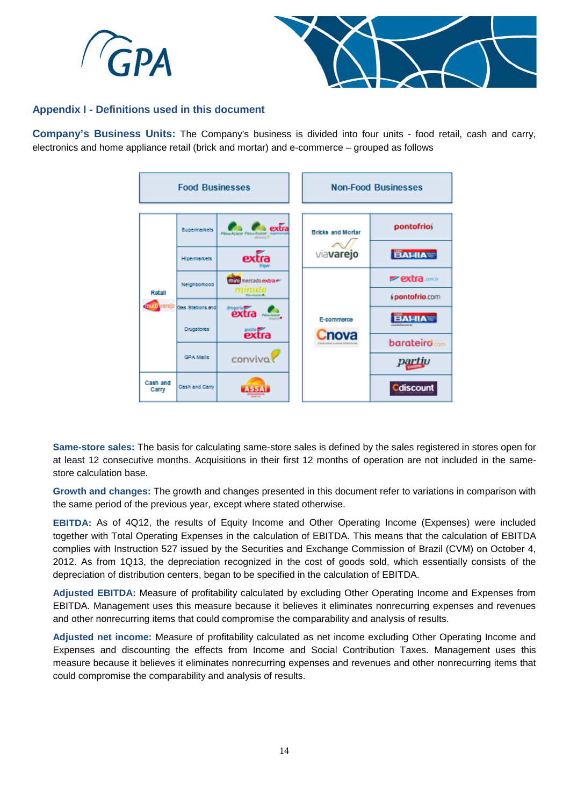



## **Appendix I - Definitions used in this document**

**Company's Business Units:** The Company's business is divided into four units - food retail, cash and carry, electronics and home appliance retail (brick and mortar) and e-commerce – grouped as follows



**Same-store sales:** The basis for calculating same-store sales is defined by the sales registered in stores open for at least 12 consecutive months. Acquisitions in their first 12 months of operation are not included in the samestore calculation base.

**Growth and changes:** The growth and changes presented in this document refer to variations in comparison with the same period of the previous year, except where stated otherwise.

**EBITDA:** As of 4Q12, the results of Equity Income and Other Operating Income (Expenses) were included together with Total Operating Expenses in the calculation of EBITDA. This means that the calculation of EBITDA complies with Instruction 527 issued by the Securities and Exchange Commission of Brazil (CVM) on October 4, 2012. As from 1Q13, the depreciation recognized in the cost of goods sold, which essentially consists of the depreciation of distribution centers, began to be specified in the calculation of EBITDA.

**Adjusted EBITDA:** Measure of profitability calculated by excluding Other Operating Income and Expenses from EBITDA. Management uses this measure because it believes it eliminates nonrecurring expenses and revenues and other nonrecurring items that could compromise the comparability and analysis of results.

**Adjusted net income:** Measure of profitability calculated as net income excluding Other Operating Income and Expenses and discounting the effects from Income and Social Contribution Taxes. Management uses this measure because it believes it eliminates nonrecurring expenses and revenues and other nonrecurring items that could compromise the comparability and analysis of results.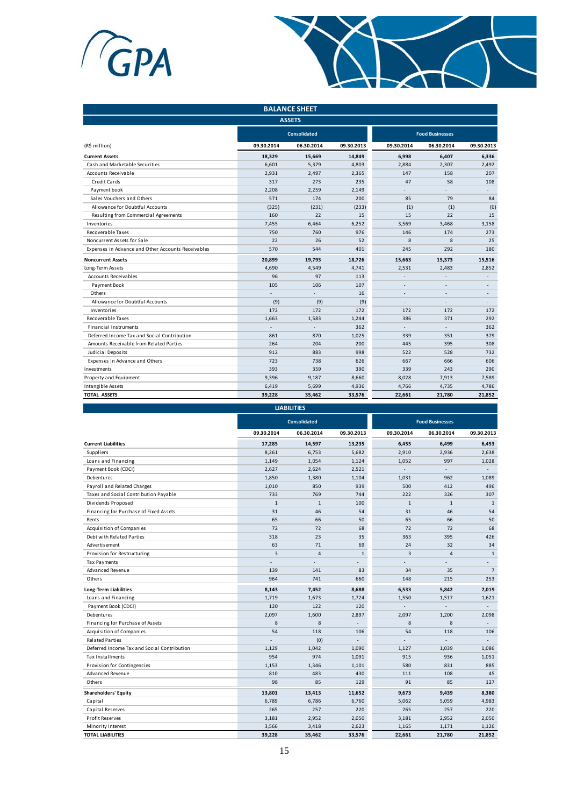



|                                                    | <b>BALANCE SHEET</b> |                     |            |            |                        |                |  |  |  |  |  |  |  |
|----------------------------------------------------|----------------------|---------------------|------------|------------|------------------------|----------------|--|--|--|--|--|--|--|
|                                                    |                      | <b>ASSETS</b>       |            |            |                        |                |  |  |  |  |  |  |  |
|                                                    |                      | <b>Consolidated</b> |            |            | <b>Food Businesses</b> |                |  |  |  |  |  |  |  |
| (R\$ million)                                      | 09.30.2014           | 06.30.2014          | 09.30.2013 | 09.30.2014 | 06.30.2014             | 09.30.2013     |  |  |  |  |  |  |  |
| <b>Current Assets</b>                              | 18,329               | 15,669              | 14,849     | 6,998      | 6,407                  | 6,336          |  |  |  |  |  |  |  |
| Cash and Marketable Securities                     | 6,601                | 5,379               | 4,803      | 2,884      | 2,307                  | 2,492          |  |  |  |  |  |  |  |
| <b>Accounts Receivable</b>                         | 2,931                | 2,497               | 2,365      | 147        | 158                    | 207            |  |  |  |  |  |  |  |
| Credit Cards                                       | 317                  | 273                 | 235        | 47         | 58                     | 108            |  |  |  |  |  |  |  |
| Payment book                                       | 2,208                | 2,259               | 2,149      |            |                        |                |  |  |  |  |  |  |  |
| Sales Vouchers and Others                          | 571                  | 174                 | 200        | 85         | 79                     | 84             |  |  |  |  |  |  |  |
| Allowance for Doubtful Accounts                    | (325)                | (231)               | (233)      | (1)        | (1)                    | (0)            |  |  |  |  |  |  |  |
| Resulting from Commercial Agreements               | 160                  | 22                  | 15         | 15         | 22                     | 15             |  |  |  |  |  |  |  |
| Inventories                                        | 7,455                | 6,464               | 6,252      | 3,569      | 3,468                  | 3,158          |  |  |  |  |  |  |  |
| <b>Recoverable Taxes</b>                           | 750                  | 760                 | 976        | 146        | 174                    | 273            |  |  |  |  |  |  |  |
| Noncurrent Assets for Sale                         | 22                   | 26                  | 52         | 8          | 8                      | 25             |  |  |  |  |  |  |  |
| Expenses in Advance and Other Accounts Receivables | 570                  | 544                 | 401        | 245        | 292                    | 180            |  |  |  |  |  |  |  |
| <b>Noncurrent Assets</b>                           | 20,899               | 19,793              | 18,726     | 15,663     | 15,373                 | 15,516         |  |  |  |  |  |  |  |
| Long-Term Assets                                   | 4,690                | 4,549               | 4,741      | 2,531      | 2,483                  | 2,852          |  |  |  |  |  |  |  |
| Accounts Receivables                               | 96                   | 97                  | 113        |            |                        |                |  |  |  |  |  |  |  |
| Payment Book                                       | 105                  | 106                 | 107        |            |                        |                |  |  |  |  |  |  |  |
| Others                                             |                      |                     | 16         |            |                        | L,             |  |  |  |  |  |  |  |
| Allowance for Doubtful Accounts                    | (9)                  | (9)                 | (9)        | ٠          | $\overline{a}$         | $\overline{a}$ |  |  |  |  |  |  |  |
| Inventories                                        | 172                  | 172                 | 172        | 172        | 172                    | 172            |  |  |  |  |  |  |  |
| Recoverable Taxes                                  | 1.663                | 1,583               | 1,244      | 386        | 371                    | 292            |  |  |  |  |  |  |  |
| <b>Financial Instruments</b>                       |                      |                     | 362        |            |                        | 362            |  |  |  |  |  |  |  |
| Deferred Income Tax and Social Contribution        | 861                  | 870                 | 1,025      | 339        | 351                    | 379            |  |  |  |  |  |  |  |
| Amounts Receivable from Related Parties            | 264                  | 204                 | 200        | 445        | 395                    | 308            |  |  |  |  |  |  |  |
| Judicial Deposits                                  | 912                  | 883                 | 998        | 522        | 528                    | 732            |  |  |  |  |  |  |  |
| Expenses in Advance and Others                     | 723                  | 738                 | 626        | 667        | 666                    | 606            |  |  |  |  |  |  |  |
| Investments                                        | 393                  | 359                 | 390        | 339        | 243                    | 290            |  |  |  |  |  |  |  |
| Property and Equipment                             | 9,396                | 9,187               | 8,660      | 8,028      | 7,913                  | 7,589          |  |  |  |  |  |  |  |
| Intangible Assets                                  | 6,419                | 5,699               | 4,936      | 4,766      | 4,735                  | 4,786          |  |  |  |  |  |  |  |
| <b>TOTAL ASSETS</b>                                | 39,228               | 35,462              | 33,576     | 22,661     | 21,780                 | 21,852         |  |  |  |  |  |  |  |

|                                             |              | <b>LIABILITIES</b>  |              |                |                        |                |
|---------------------------------------------|--------------|---------------------|--------------|----------------|------------------------|----------------|
|                                             |              | <b>Consolidated</b> |              |                | <b>Food Businesses</b> |                |
|                                             | 09.30.2014   | 06.30.2014          | 09.30.2013   | 09.30.2014     | 06.30.2014             | 09.30.2013     |
| <b>Current Liabilities</b>                  | 17,285       | 14,597              | 13,235       | 6,455          | 6,499                  | 6,453          |
| Suppliers                                   | 8,261        | 6,753               | 5,682        | 2,910          | 2,936                  | 2,638          |
| Loans and Financing                         | 1,149        | 1,054               | 1,124        | 1,052          | 997                    | 1,028          |
| Payment Book (CDCI)                         | 2,627        | 2,624               | 2,521        |                |                        |                |
| Debentures                                  | 1,850        | 1,380               | 1,104        | 1.031          | 962                    | 1,089          |
| Payroll and Related Charges                 | 1,010        | 850                 | 939          | 500            | 412                    | 496            |
| Taxes and Social Contribution Payable       | 733          | 769                 | 744          | 222            | 326                    | 307            |
| Dividends Proposed                          | $\mathbf{1}$ | $\mathbf{1}$        | 100          | $\mathbf{1}$   | $\mathbf{1}$           | $\mathbf{1}$   |
| Financing for Purchase of Fixed Assets      | 31           | 46                  | 54           | 31             | 46                     | 54             |
| Rents                                       | 65           | 66                  | 50           | 65             | 66                     | 50             |
| Acquisition of Companies                    | 72           | 72                  | 68           | 72             | 72                     | 68             |
| Debt with Related Parties                   | 318          | 23                  | 35           | 363            | 395                    | 426            |
| Advertisement                               | 63           | 71                  | 69           | 24             | 32                     | 34             |
| Provision for Restructuring                 | 3            | $\overline{4}$      | $\mathbf{1}$ | $\overline{3}$ | $\overline{a}$         | $\mathbf{1}$   |
| <b>Tax Payments</b>                         |              |                     |              |                |                        | $\overline{a}$ |
| Advanced Revenue                            | 139          | 141                 | 83           | 34             | 35                     | $\overline{7}$ |
| Others                                      | 964          | 741                 | 660          | 148            | 215                    | 253            |
| <b>Long-Term Liabilities</b>                | 8,143        | 7,452               | 8,688        | 6,533          | 5,842                  | 7,019          |
| Loans and Financing                         | 1,719        | 1,673               | 1,724        | 1,550          | 1,517                  | 1,621          |
| Payment Book (CDCI)                         | 120          | 122                 | 120          |                |                        |                |
| Debentures                                  | 2.097        | 1.600               | 2,897        | 2.097          | 1,200                  | 2,098          |
| Financing for Purchase of Assets            | 8            | 8                   | ÷            | 8              | 8                      | $\overline{a}$ |
| Acquisition of Companies                    | 54           | 118                 | 106          | 54             | 118                    | 106            |
| <b>Related Parties</b>                      |              | (0)                 |              |                |                        | $\overline{a}$ |
| Deferred Income Tax and Social Contribution | 1,129        | 1,042               | 1,090        | 1,127          | 1,039                  | 1,086          |
| Tax Installments                            | 954          | 974                 | 1,091        | 915            | 936                    | 1,051          |
| Provision for Contingencies                 | 1.153        | 1.346               | 1,101        | 580            | 831                    | 885            |
| Advanced Revenue                            | 810          | 483                 | 430          | 111            | 108                    | 45             |
| Others                                      | 98           | 85                  | 129          | 91             | 85                     | 127            |
| <b>Shareholders' Equity</b>                 | 13,801       | 13,413              | 11,652       | 9,673          | 9,439                  | 8,380          |
| Capital                                     | 6,789        | 6,786               | 6,760        | 5,062          | 5,059                  | 4,983          |
| Capital Reserves                            | 265          | 257                 | 220          | 265            | 257                    | 220            |
| Profit Reserves                             | 3,181        | 2,952               | 2,050        | 3,181          | 2,952                  | 2,050          |
| Minority Interest                           | 3,566        | 3,418               | 2,623        | 1,165          | 1,171                  | 1,126          |
| <b>TOTAL LIABILITIES</b>                    | 39,228       | 35,462              | 33,576       | 22,661         | 21,780                 | 21,852         |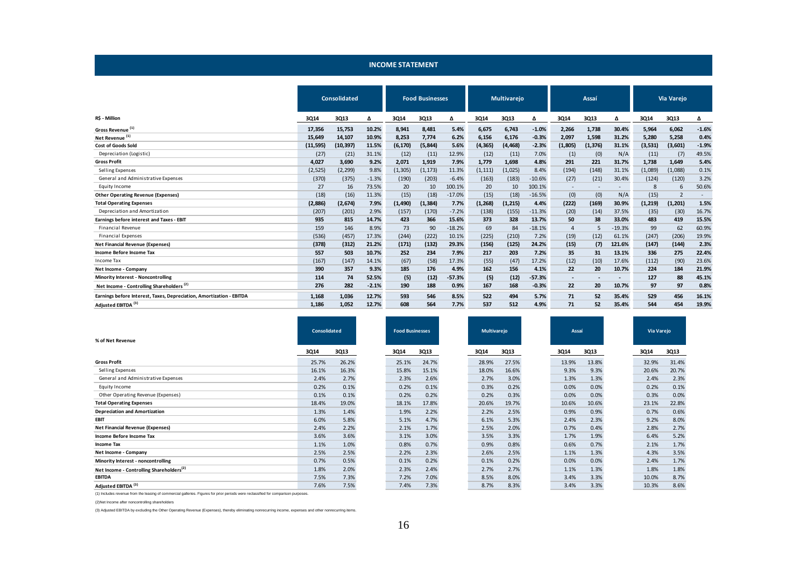#### **INCOME STATEMENT**

|                                                                      |           | Consolidated | <b>Food Businesses</b> |          |          | <b>Multivareio</b> |          | Assaí    |          |         | <b>Via Varejo</b>        |                          |         |                |         |
|----------------------------------------------------------------------|-----------|--------------|------------------------|----------|----------|--------------------|----------|----------|----------|---------|--------------------------|--------------------------|---------|----------------|---------|
| R\$ - Million                                                        | 3Q14      | 3Q13         | Δ                      | 3Q14     | 3Q13     | Δ                  | 3Q14     | 3Q13     | Δ        | 3Q14    | 3Q13                     | Δ                        | 3Q14    | 3Q13           | Δ       |
| Gross Revenue <sup>(1)</sup>                                         | 17,356    | 15,753       | 10.2%                  | 8,941    | 8,481    | 5.4%               | 6,675    | 6,743    | $-1.0%$  | 2,266   | 1,738                    | 30.4%                    | 5,964   | 6,062          | $-1.6%$ |
| Net Revenue <sup>(1)</sup>                                           | 15,649    | 14,107       | 10.9%                  | 8,253    | 7,774    | 6.2%               | 6,156    | 6,176    | $-0.3%$  | 2,097   | 1,598                    | 31.2%                    | 5,280   | 5,258          | 0.4%    |
| <b>Cost of Goods Sold</b>                                            | (11, 595) | (10, 397)    | 11.5%                  | (6, 170) | (5, 844) | 5.6%               | (4, 365) | (4, 468) | $-2.3%$  | (1,805) | (1, 376)                 | 31.1%                    | (3,531) | (3,601)        | $-1.9%$ |
| Depreciation (Logistic)                                              | (27)      | (21)         | 31.1%                  | (12)     | (11)     | 12.9%              | (12)     | (11)     | 7.0%     | (1)     | (0)                      | N/A                      | (11)    | (7)            | 49.5%   |
| <b>Gross Profit</b>                                                  | 4.027     | 3,690        | 9.2%                   | 2.071    | 1,919    | 7.9%               | 1.779    | 1,698    | 4.8%     | 291     | 221                      | 31.7%                    | 1.738   | 1,649          | 5.4%    |
| Selling Expenses                                                     | (2, 525)  | (2, 299)     | 9.8%                   | (1, 305) | (1, 173) | 11.3%              | (1, 111) | (1,025)  | 8.4%     | (194)   | (148)                    | 31.1%                    | (1,089) | (1,088)        | 0.1%    |
| General and Administrative Expenses                                  | (370)     | (375)        | $-1.3%$                | (190)    | (203)    | $-6.4%$            | (163)    | (183)    | $-10.6%$ | (27)    | (21)                     | 30.4%                    | (124)   | (120)          | 3.2%    |
| Equity Income                                                        | 27        | 16           | 73.5%                  | 20       | 10       | 100.1%             | 20       | 10       | 100.1%   |         | $\overline{\phantom{a}}$ | $\overline{\phantom{0}}$ | 8       | 6              | 50.6%   |
| <b>Other Operating Revenue (Expenses)</b>                            | (18)      | (16)         | 11.3%                  | (15)     | (18)     | $-17.0%$           | (15)     | (18)     | $-16.5%$ | (0)     | (0)                      | N/A                      | (15)    | $\overline{2}$ |         |
| <b>Total Operating Expenses</b>                                      | (2,886)   | (2,674)      | 7.9%                   | (1, 490) | (1,384)  | 7.7%               | (1, 268) | (1, 215) | 4.4%     | (222)   | (169)                    | 30.9%                    | (1,219) | (1, 201)       | 1.5%    |
| Depreciation and Amortization                                        | (207)     | (201)        | 2.9%                   | (157)    | (170)    | $-7.2%$            | (138)    | (155)    | $-11.3%$ | (20)    | (14)                     | 37.5%                    | (35)    | (30)           | 16.7%   |
| Earnings before interest and Taxes - EBIT                            | 935       | 815          | 14.7%                  | 423      | 366      | 15.6%              | 373      | 328      | 13.7%    | 50      | 38                       | 33.0%                    | 483     | 419            | 15.5%   |
| <b>Financial Revenue</b>                                             | 159       | 146          | 8.9%                   | 73       | 90       | $-18.2%$           | 69       | 84       | $-18.1%$ | 4       | 5                        | $-19.3%$                 | 99      | 62             | 60.9%   |
| <b>Financial Expenses</b>                                            | (536)     | (457)        | 17.3%                  | (244)    | (222)    | 10.1%              | (225)    | (210)    | 7.2%     | (19)    | (12)                     | 61.1%                    | (247)   | (206)          | 19.9%   |
| <b>Net Financial Revenue (Expenses)</b>                              | (378)     | (312)        | 21.2%                  | (171)    | (132)    | 29.3%              | (156)    | (125)    | 24.2%    | (15)    | (7)                      | 121.6%                   | (147)   | (144)          | 2.3%    |
| Income Before Income Tax                                             | 557       | 503          | 10.7%                  | 252      | 234      | 7.9%               | 217      | 203      | 7.2%     | 35      | 31                       | 13.1%                    | 336     | 275            | 22.4%   |
| Income Tax                                                           | (167)     | (147)        | 14.1%                  | (67)     | (58)     | 17.3%              | (55)     | (47)     | 17.2%    | (12)    | (10)                     | 17.6%                    | (112)   | (90)           | 23.6%   |
| Net Income - Company                                                 | 390       | 357          | 9.3%                   | 185      | 176      | 4.9%               | 162      | 156      | 4.1%     | 22      | 20                       | 10.7%                    | 224     | 184            | 21.9%   |
| <b>Minority Interest - Noncontrolling</b>                            | 114       | 74           | 52.5%                  | (5)      | (12)     | $-57.3%$           | (5)      | (12)     | $-57.3%$ |         |                          | $\overline{\phantom{a}}$ | 127     | 88             | 45.1%   |
| Net Income - Controlling Shareholders <sup>(2)</sup>                 | 276       | 282          | $-2.1%$                | 190      | 188      | 0.9%               | 167      | 168      | $-0.3%$  | 22      | 20                       | 10.7%                    | 97      | 97             | 0.8%    |
| Earnings before Interest, Taxes, Depreciation, Amortization - EBITDA | 1.168     | 1,036        | 12.7%                  | 593      | 546      | 8.5%               | 522      | 494      | 5.7%     | 71      | 52                       | 35.4%                    | 529     | 456            | 16.1%   |
| Adjusted EBITDA <sup>(3)</sup>                                       | 1.186     | 1.052        | 12.7%                  | 608      | 564      | 7.7%               | 537      | 512      | 4.9%     | 71      | 52                       | 35.4%                    | 544     | 454            | 19.9%   |

| % of Net Revenue                                     | <b>Consolidated</b> |       | <b>Food Businesses</b> |       | <b>Multivarejo</b> |       | Assaí |       | Via Varejo |             |
|------------------------------------------------------|---------------------|-------|------------------------|-------|--------------------|-------|-------|-------|------------|-------------|
|                                                      | 3Q14                | 3Q13  | 3Q14                   | 3Q13  | 3Q14               | 3Q13  | 3Q14  | 3Q13  | 3Q14       | <b>3Q13</b> |
| <b>Gross Profit</b>                                  | 25.7%               | 26.2% | 25.1%                  | 24.7% | 28.9%              | 27.5% | 13.9% | 13.8% | 32.9%      | 31.4%       |
| Selling Expenses                                     | 16.1%               | 16.3% | 15.8%                  | 15.1% | 18.0%              | 16.6% | 9.3%  | 9.3%  | 20.6%      | 20.7%       |
| General and Administrative Expenses                  | 2.4%                | 2.7%  | 2.3%                   | 2.6%  | 2.7%               | 3.0%  | 1.3%  | 1.3%  | 2.4%       | 2.3%        |
| Equity Income                                        | 0.2%                | 0.1%  | 0.2%                   | 0.1%  | 0.3%               | 0.2%  | 0.0%  | 0.0%  | 0.2%       | 0.1%        |
| Other Operating Revenue (Expenses)                   | 0.1%                | 0.1%  | 0.2%                   | 0.2%  | 0.2%               | 0.3%  | 0.0%  | 0.0%  | 0.3%       | 0.0%        |
| <b>Total Operating Expenses</b>                      | 18.4%               | 19.0% | 18.1%                  | 17.8% | 20.6%              | 19.7% | 10.6% | 10.6% | 23.1%      | 22.8%       |
| <b>Depreciation and Amortization</b>                 | 1.3%                | 1.4%  | 1.9%                   | 2.2%  | 2.2%               | 2.5%  | 0.9%  | 0.9%  | 0.7%       | 0.6%        |
| <b>EBIT</b>                                          | 6.0%                | 5.8%  | 5.1%                   | 4.7%  | 6.1%               | 5.3%  | 2.4%  | 2.3%  | 9.2%       | 8.0%        |
| <b>Net Financial Revenue (Expenses)</b>              | 2.4%                | 2.2%  | 2.1%                   | 1.7%  | 2.5%               | 2.0%  | 0.7%  | 0.4%  | 2.8%       | 2.7%        |
| Income Before Income Tax                             | 3.6%                | 3.6%  | 3.1%                   | 3.0%  | 3.5%               | 3.3%  | 1.7%  | 1.9%  | 6.4%       | 5.2%        |
| <b>Income Tax</b>                                    | 1.1%                | 1.0%  | 0.8%                   | 0.7%  | 0.9%               | 0.8%  | 0.6%  | 0.7%  | 2.1%       | 1.7%        |
| Net Income - Company                                 | 2.5%                | 2.5%  | 2.2%                   | 2.3%  | 2.6%               | 2.5%  | 1.1%  | 1.3%  | 4.3%       | 3.5%        |
| Minority Interest - noncontrolling                   | 0.7%                | 0.5%  | 0.1%                   | 0.2%  | 0.1%               | 0.2%  | 0.0%  | 0.0%  | 2.4%       | 1.7%        |
| Net Income - Controlling Shareholders <sup>(2)</sup> | 1.8%                | 2.0%  | 2.3%                   | 2.4%  | 2.7%               | 2.7%  | 1.1%  | 1.3%  | 1.8%       | 1.8%        |
| <b>EBITDA</b>                                        | 7.5%                | 7.3%  | 7.2%                   | 7.0%  | 8.5%               | 8.0%  | 3.4%  | 3.3%  | 10.0%      | 8.7%        |
| Adjusted EBITDA <sup>(3)</sup>                       | 7.6%                | 7.5%  | 7.4%                   | 7.3%  | 8.7%               | 8.3%  | 3.4%  | 3.3%  | 10.3%      | 8.6%        |

(1) Includes revenue from the leasing of commercial galleries. Figures for prior periods were reclassified for comparison purposes.

(2)Net Income after noncontrolling shareholders

(3) Adjusted EBITDA by excluding the Other Operating Revenue (Expenses), thereby eliminating nonrecurring income, expenses and other nonrecurring items.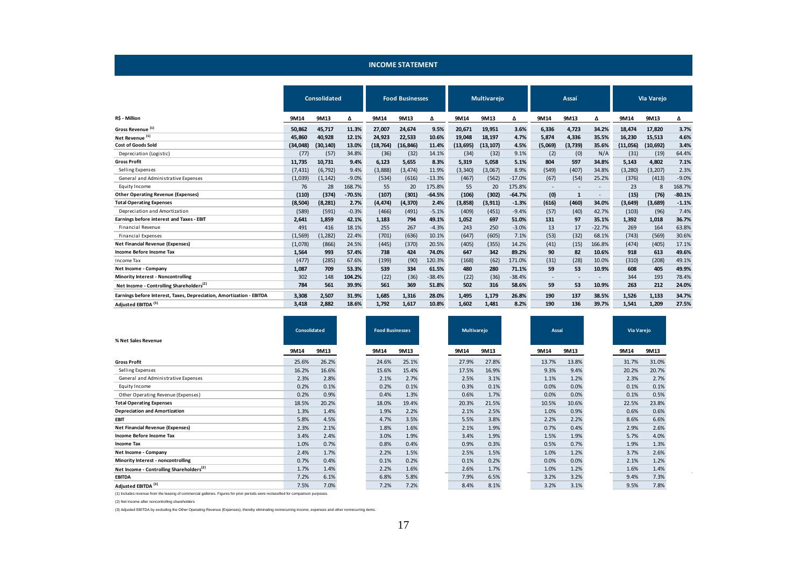|                                                                      |          | <b>Consolidated</b> |          |           | <b>Food Businesses</b> |          |           | <b>Multivarejo</b> |          |                          | Assai                    |          |          | Via Varejo |          |
|----------------------------------------------------------------------|----------|---------------------|----------|-----------|------------------------|----------|-----------|--------------------|----------|--------------------------|--------------------------|----------|----------|------------|----------|
| R\$ - Million                                                        | 9M14     | 9M13                | Δ        | 9M14      | 9M13                   | Δ        | 9M14      | 9M13               | Δ        | 9M14                     | 9M13                     | Δ        | 9M14     | 9M13       | Δ        |
| Gross Revenue <sup>(1)</sup>                                         | 50.862   | 45,717              | 11.3%    | 27,007    | 24,674                 | 9.5%     | 20,671    | 19,951             | 3.6%     | 6,336                    | 4,723                    | 34.2%    | 18,474   | 17,820     | 3.7%     |
| Net Revenue <sup>(1)</sup>                                           | 45,860   | 40,928              | 12.1%    | 24,923    | 22,533                 | 10.6%    | 19,048    | 18,197             | 4.7%     | 5,874                    | 4,336                    | 35.5%    | 16,230   | 15,513     | 4.6%     |
| <b>Cost of Goods Sold</b>                                            | (34,048) | (30, 140)           | 13.0%    | (18, 764) | (16, 846)              | 11.4%    | (13, 695) | (13, 107)          | 4.5%     | (5,069)                  | (3,739)                  | 35.6%    | (11,056) | (10, 692)  | 3.4%     |
| Depreciation (Logistic)                                              | (77)     | (57)                | 34.8%    | (36)      | (32)                   | 14.1%    | (34)      | (32)               | 9.1%     | (2)                      | (0)                      | N/A      | (31)     | (19)       | 64.4%    |
| <b>Gross Profit</b>                                                  | 11,735   | 10,731              | 9.4%     | 6,123     | 5,655                  | 8.3%     | 5,319     | 5,058              | 5.1%     | 804                      | 597                      | 34.8%    | 5,143    | 4,802      | 7.1%     |
| Selling Expenses                                                     | (7, 431) | (6, 792)            | 9.4%     | (3,888)   | (3, 474)               | 11.9%    | (3, 340)  | (3,067)            | 8.9%     | (549)                    | (407)                    | 34.8%    | (3, 280) | (3, 207)   | 2.3%     |
| General and Administrative Expenses                                  | (1,039)  | (1, 142)            | $-9.0%$  | (534)     | (616)                  | $-13.3%$ | (467)     | (562)              | $-17.0%$ | (67)                     | (54)                     | 25.2%    | (376)    | (413)      | $-9.0%$  |
| Equity Income                                                        | 76       | 28                  | 168.7%   | 55        | 20                     | 175.8%   | 55        | 20                 | 175.8%   | $\overline{\phantom{0}}$ | ٠                        |          | 23       | 8          | 168.7%   |
| <b>Other Operating Revenue (Expenses)</b>                            | (110)    | (374)               | $-70.5%$ | (107)     | (301)                  | $-64.5%$ | (106)     | (302)              | $-64.7%$ | (0)                      | $\mathbf{1}$             |          | (15)     | (76)       | $-80.1%$ |
| <b>Total Operating Expenses</b>                                      | (8,504)  | (8, 281)            | 2.7%     | (4, 474)  | (4, 370)               | 2.4%     | (3,858)   | (3, 911)           | $-1.3%$  | (616)                    | (460)                    | 34.0%    | (3,649)  | (3,689)    | $-1.1%$  |
| Depreciation and Amortization                                        | (589)    | (591)               | $-0.3%$  | (466)     | (491)                  | $-5.1%$  | (409)     | (451)              | $-9.4%$  | (57)                     | (40)                     | 42.7%    | (103)    | (96)       | 7.4%     |
| Earnings before interest and Taxes - EBIT                            | 2,641    | 1,859               | 42.1%    | 1,183     | 794                    | 49.1%    | 1,052     | 697                | 51.0%    | 131                      | 97                       | 35.1%    | 1,392    | 1,018      | 36.7%    |
| <b>Financial Revenue</b>                                             | 491      | 416                 | 18.1%    | 255       | 267                    | $-4.3%$  | 243       | 250                | $-3.0%$  | 13                       | 17                       | $-22.7%$ | 269      | 164        | 63.8%    |
| <b>Financial Expenses</b>                                            | (1, 569) | (1, 282)            | 22.4%    | (701)     | (636)                  | 10.1%    | (647)     | (605)              | 7.1%     | (53)                     | (32)                     | 68.1%    | (743)    | (569)      | 30.6%    |
| <b>Net Financial Revenue (Expenses)</b>                              | (1,078)  | (866)               | 24.5%    | (445)     | (370)                  | 20.5%    | (405)     | (355)              | 14.2%    | (41)                     | (15)                     | 166.8%   | (474)    | (405)      | 17.1%    |
| Income Before Income Tax                                             | 1,564    | 993                 | 57.4%    | 738       | 424                    | 74.0%    | 647       | 342                | 89.2%    | 90                       | 82                       | 10.6%    | 918      | 613        | 49.6%    |
| Income Tax                                                           | (477)    | (285)               | 67.6%    | (199)     | (90)                   | 120.3%   | (168)     | (62)               | 171.0%   | (31)                     | (28)                     | 10.0%    | (310)    | (208)      | 49.1%    |
| Net Income - Company                                                 | 1,087    | 709                 | 53.3%    | 539       | 334                    | 61.5%    | 480       | 280                | 71.1%    | 59                       | 53                       | 10.9%    | 608      | 405        | 49.9%    |
| <b>Minority Interest - Noncontrolling</b>                            | 302      | 148                 | 104.2%   | (22)      | (36)                   | $-38.4%$ | (22)      | (36)               | $-38.4%$ | $\overline{\phantom{a}}$ | $\overline{\phantom{a}}$ |          | 344      | 193        | 78.4%    |
| Net Income - Controlling Shareholders <sup>(2)</sup>                 | 784      | 561                 | 39.9%    | 561       | 369                    | 51.8%    | 502       | 316                | 58.6%    | 59                       | 53                       | 10.9%    | 263      | 212        | 24.0%    |
| Earnings before Interest, Taxes, Depreciation, Amortization - EBITDA | 3,308    | 2.507               | 31.9%    | 1.685     | 1.316                  | 28.0%    | 1.495     | 1.179              | 26.8%    | 190                      | 137                      | 38.5%    | 1,526    | 1,133      | 34.7%    |
| Adjusted EBITDA <sup>(3)</sup>                                       | 3.418    | 2,882               | 18.6%    | 1,792     | 1,617                  | 10.8%    | 1,602     | 1,481              | 8.2%     | 190                      | 136                      | 39.7%    | 1,541    | 1,209      | 27.5%    |

**INCOME STATEMENT**

| % Net Sales Revenue                                  | <b>Consolidated</b> |       | <b>Food Businesses</b> |       | <b>Multivarejo</b> |       |       | Assaí |       |       | Via Varejo |       |
|------------------------------------------------------|---------------------|-------|------------------------|-------|--------------------|-------|-------|-------|-------|-------|------------|-------|
|                                                      | 9M14                | 9M13  | 9M14                   | 9M13  |                    | 9M14  | 9M13  |       | 9M14  | 9M13  | 9M14       | 9M13  |
| <b>Gross Profit</b>                                  | 25.6%               | 26.2% | 24.6%                  | 25.1% |                    | 27.9% | 27.8% |       | 13.7% | 13.8% | 31.7%      | 31.0% |
| Selling Expenses                                     | 16.2%               | 16.6% | 15.6%                  | 15.4% |                    | 17.5% | 16.9% |       | 9.3%  | 9.4%  | 20.2%      | 20.7% |
| General and Administrative Expenses                  | 2.3%                | 2.8%  | 2.1%                   | 2.7%  |                    | 2.5%  | 3.1%  |       | 1.1%  | 1.2%  | 2.3%       | 2.7%  |
| Equity Income                                        | 0.2%                | 0.1%  | 0.2%                   | 0.1%  |                    | 0.3%  | 0.1%  |       | 0.0%  | 0.0%  | 0.1%       | 0.1%  |
| Other Operating Revenue (Expenses)                   | 0.2%                | 0.9%  | 0.4%                   | 1.3%  |                    | 0.6%  | 1.7%  |       | 0.0%  | 0.0%  | 0.1%       | 0.5%  |
| <b>Total Operating Expenses</b>                      | 18.5%               | 20.2% | 18.0%                  | 19.4% |                    | 20.3% | 21.5% |       | 10.5% | 10.6% | 22.5%      | 23.8% |
| <b>Depreciation and Amortization</b>                 | 1.3%                | 1.4%  | 1.9%                   | 2.2%  |                    | 2.1%  | 2.5%  |       | 1.0%  | 0.9%  | 0.6%       | 0.6%  |
| <b>EBIT</b>                                          | 5.8%                | 4.5%  | 4.7%                   | 3.5%  |                    | 5.5%  | 3.8%  |       | 2.2%  | 2.2%  | 8.6%       | 6.6%  |
| <b>Net Financial Revenue (Expenses)</b>              | 2.3%                | 2.1%  | 1.8%                   | 1.6%  |                    | 2.1%  | 1.9%  |       | 0.7%  | 0.4%  | 2.9%       | 2.6%  |
| Income Before Income Tax                             | 3.4%                | 2.4%  | 3.0%                   | 1.9%  |                    | 3.4%  | 1.9%  |       | 1.5%  | 1.9%  | 5.7%       | 4.0%  |
| <b>Income Tax</b>                                    | 1.0%                | 0.7%  | 0.8%                   | 0.4%  |                    | 0.9%  | 0.3%  |       | 0.5%  | 0.7%  | 1.9%       | 1.3%  |
| Net Income - Company                                 | 2.4%                | 1.7%  | 2.2%                   | 1.5%  |                    | 2.5%  | 1.5%  |       | 1.0%  | 1.2%  | 3.7%       | 2.6%  |
| Minority Interest - noncontrolling                   | 0.7%                | 0.4%  | 0.1%                   | 0.2%  |                    | 0.1%  | 0.2%  |       | 0.0%  | 0.0%  | 2.1%       | 1.2%  |
| Net Income - Controlling Shareholders <sup>(2)</sup> | 1.7%                | 1.4%  | 2.2%                   | 1.6%  |                    | 2.6%  | 1.7%  |       | 1.0%  | 1.2%  | 1.6%       | 1.4%  |
| <b>EBITDA</b>                                        | 7.2%                | 6.1%  | 6.8%                   | 5.8%  |                    | 7.9%  | 6.5%  |       | 3.2%  | 3.2%  | 9.4%       | 7.3%  |
| Adjusted EBITDA <sup>(3)</sup>                       | 7.5%                | 7.0%  | 7.2%                   | 7.2%  |                    | 8.4%  | 8.1%  |       | 3.2%  | 3.1%  | 9.5%       | 7.8%  |

(1) Includes revenue from the leasing of commercial galleries. Figures for prior periods were reclassified for comparison purposes.

(2) Net Income after noncontrolling shareholders

(3) Adjusted EBITDA by excluding the Other Operating Revenue (Expenses), thereby eliminating nonrecurring income, expenses and other nonrecurring items.

J.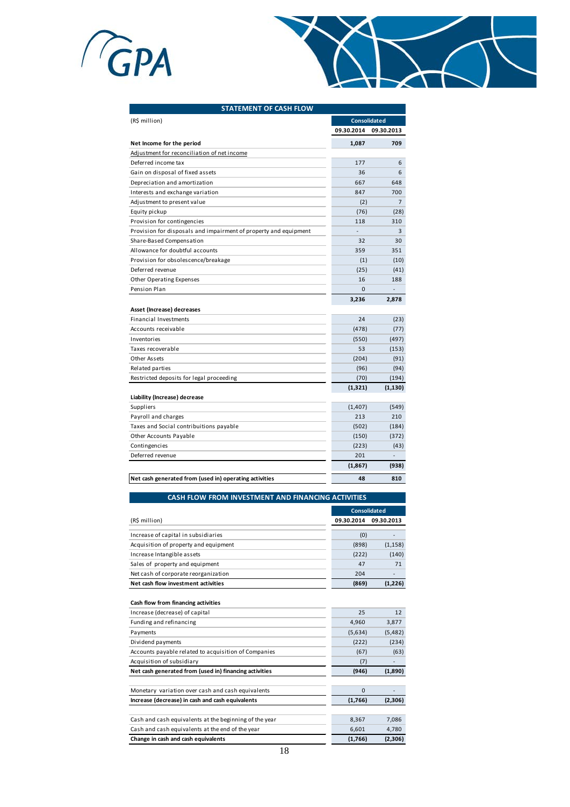



| 09.30.2014<br>1,087<br>177<br>36<br>667<br>847<br>(2)<br>(76)<br>118<br>$\overline{a}$<br>32<br>359<br>(1)<br>(25)<br>16 | 09.30.2013<br>709<br>6<br>6<br>648<br>700<br>$\overline{7}$<br>(28)<br>310<br>3<br>30<br>351<br>(10) |
|--------------------------------------------------------------------------------------------------------------------------|------------------------------------------------------------------------------------------------------|
|                                                                                                                          |                                                                                                      |
|                                                                                                                          |                                                                                                      |
|                                                                                                                          |                                                                                                      |
|                                                                                                                          |                                                                                                      |
|                                                                                                                          |                                                                                                      |
|                                                                                                                          |                                                                                                      |
|                                                                                                                          |                                                                                                      |
|                                                                                                                          |                                                                                                      |
|                                                                                                                          |                                                                                                      |
|                                                                                                                          |                                                                                                      |
|                                                                                                                          |                                                                                                      |
|                                                                                                                          |                                                                                                      |
|                                                                                                                          |                                                                                                      |
|                                                                                                                          |                                                                                                      |
|                                                                                                                          | (41)                                                                                                 |
|                                                                                                                          | 188                                                                                                  |
| $\Omega$                                                                                                                 |                                                                                                      |
| 3,236                                                                                                                    | 2,878                                                                                                |
|                                                                                                                          |                                                                                                      |
| 24                                                                                                                       | (23)                                                                                                 |
| (478)                                                                                                                    | (77)                                                                                                 |
| (550)                                                                                                                    | (497)                                                                                                |
| 53                                                                                                                       | (153)                                                                                                |
| (204)                                                                                                                    | (91)                                                                                                 |
| (96)                                                                                                                     | (94)                                                                                                 |
| (70)                                                                                                                     | (194)                                                                                                |
| (1, 321)                                                                                                                 | (1, 130)                                                                                             |
|                                                                                                                          |                                                                                                      |
| (1,407)                                                                                                                  | (549)                                                                                                |
| 213                                                                                                                      | 210                                                                                                  |
| (502)                                                                                                                    | (184)                                                                                                |
| (150)                                                                                                                    | (372)                                                                                                |
| (223)                                                                                                                    | (43)                                                                                                 |
| 201                                                                                                                      |                                                                                                      |
| (1, 867)                                                                                                                 | (938)                                                                                                |
|                                                                                                                          | 810                                                                                                  |
|                                                                                                                          | 48                                                                                                   |

|                                       |            | <b>Consolidated</b> |
|---------------------------------------|------------|---------------------|
| (R\$ million)                         | 09.30.2014 | 09.30.2013          |
| Increase of capital in subsidiaries   | (0)        |                     |
| Acquisition of property and equipment | (898)      | (1, 158)            |
| Increase Intangible assets            | (222)      | (140)               |
| Sales of property and equipment       | 47         | 71                  |
| Net cash of corporate reorganization  | 204        |                     |
| Net cash flow investment activities   | (869)      | (1,226)             |

| Cash flow from financing activities                    |             |          |
|--------------------------------------------------------|-------------|----------|
| Increase (decrease) of capital                         | 25          | 12       |
| Funding and refinancing                                | 4,960       | 3,877    |
| Payments                                               | (5,634)     | (5, 482) |
| Dividend payments                                      | (222)       | (234)    |
| Accounts payable related to acquisition of Companies   | (67)        | (63)     |
| Acquisition of subsidiary                              | (7)         |          |
| Net cash generated from (used in) financing activities | (946)       | (1,890)  |
|                                                        |             |          |
| Monetary variation over cash and cash equivalents      | $\mathbf 0$ |          |
| Increase (decrease) in cash and cash equivalents       | (1,766)     | (2,306)  |
|                                                        |             |          |
| Cash and cash equivalents at the beginning of the year | 8,367       | 7,086    |
| Cash and cash equivalents at the end of the year       | 6,601       | 4,780    |
| Change in cash and cash equivalents                    | (1,766)     | (2,306)  |
|                                                        |             |          |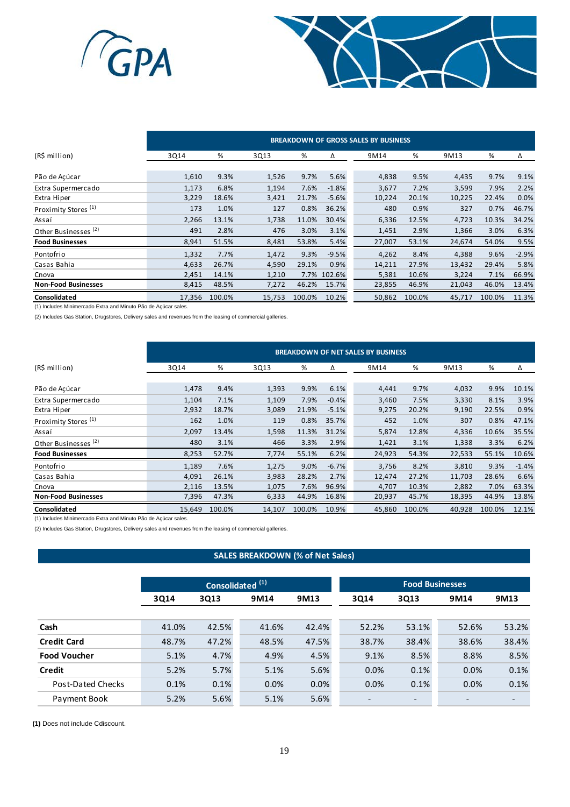



|                                 | <b>BREAKDOWN OF GROSS SALES BY BUSINESS</b> |        |        |        |             |        |        |        |        |         |
|---------------------------------|---------------------------------------------|--------|--------|--------|-------------|--------|--------|--------|--------|---------|
| (R\$ million)                   | 3Q14                                        | %      | 3Q13   | %      | Δ           | 9M14   | %      | 9M13   | %      | Δ       |
|                                 |                                             |        |        |        |             |        |        |        |        |         |
| Pão de Açúcar                   | 1,610                                       | 9.3%   | 1,526  | 9.7%   | 5.6%        | 4,838  | 9.5%   | 4,435  | 9.7%   | 9.1%    |
| Extra Supermercado              | 1,173                                       | 6.8%   | 1,194  | 7.6%   | $-1.8%$     | 3,677  | 7.2%   | 3,599  | 7.9%   | 2.2%    |
| Extra Hiper                     | 3,229                                       | 18.6%  | 3,421  | 21.7%  | $-5.6%$     | 10,224 | 20.1%  | 10,225 | 22.4%  | 0.0%    |
| Proximity Stores <sup>(1)</sup> | 173                                         | 1.0%   | 127    | 0.8%   | 36.2%       | 480    | 0.9%   | 327    | 0.7%   | 46.7%   |
| Assaí                           | 2,266                                       | 13.1%  | 1,738  | 11.0%  | 30.4%       | 6,336  | 12.5%  | 4,723  | 10.3%  | 34.2%   |
| Other Businesses <sup>(2)</sup> | 491                                         | 2.8%   | 476    | 3.0%   | 3.1%        | 1,451  | 2.9%   | 1,366  | 3.0%   | 6.3%    |
| <b>Food Businesses</b>          | 8,941                                       | 51.5%  | 8,481  | 53.8%  | 5.4%        | 27,007 | 53.1%  | 24,674 | 54.0%  | 9.5%    |
| Pontofrio                       | 1,332                                       | 7.7%   | 1,472  | 9.3%   | $-9.5%$     | 4,262  | 8.4%   | 4,388  | 9.6%   | $-2.9%$ |
| Casas Bahia                     | 4,633                                       | 26.7%  | 4,590  | 29.1%  | 0.9%        | 14,211 | 27.9%  | 13,432 | 29.4%  | 5.8%    |
| Cnova                           | 2,451                                       | 14.1%  | 1,210  |        | 7.7% 102.6% | 5,381  | 10.6%  | 3,224  | 7.1%   | 66.9%   |
| <b>Non-Food Businesses</b>      | 8,415                                       | 48.5%  | 7,272  | 46.2%  | 15.7%       | 23,855 | 46.9%  | 21,043 | 46.0%  | 13.4%   |
| Consolidated                    | 17,356                                      | 100.0% | 15,753 | 100.0% | 10.2%       | 50,862 | 100.0% | 45,717 | 100.0% | 11.3%   |

(1) Includes Minimercado Extra and Minuto Pão de Açúcar sales.

(2) Includes Gas Station, Drugstores, Delivery sales and revenues from the leasing of commercial galleries.

|                                 | <b>BREAKDOWN OF NET SALES BY BUSINESS</b> |        |        |        |         |        |        |        |        |         |
|---------------------------------|-------------------------------------------|--------|--------|--------|---------|--------|--------|--------|--------|---------|
| (R\$ million)                   | 3Q14                                      | %      | 3Q13   | %      | Δ       | 9M14   | %      | 9M13   | %      | Δ       |
|                                 |                                           |        |        |        |         |        |        |        |        |         |
| Pão de Açúcar                   | 1,478                                     | 9.4%   | 1,393  | 9.9%   | 6.1%    | 4,441  | 9.7%   | 4,032  | 9.9%   | 10.1%   |
| Extra Supermercado              | 1,104                                     | 7.1%   | 1,109  | 7.9%   | $-0.4%$ | 3,460  | 7.5%   | 3,330  | 8.1%   | 3.9%    |
| Extra Hiper                     | 2,932                                     | 18.7%  | 3,089  | 21.9%  | $-5.1%$ | 9,275  | 20.2%  | 9,190  | 22.5%  | 0.9%    |
| Proximity Stores <sup>(1)</sup> | 162                                       | 1.0%   | 119    | 0.8%   | 35.7%   | 452    | 1.0%   | 307    | 0.8%   | 47.1%   |
| Assaí                           | 2,097                                     | 13.4%  | 1,598  | 11.3%  | 31.2%   | 5,874  | 12.8%  | 4,336  | 10.6%  | 35.5%   |
| Other Businesses <sup>(2)</sup> | 480                                       | 3.1%   | 466    | 3.3%   | 2.9%    | 1,421  | 3.1%   | 1,338  | 3.3%   | 6.2%    |
| <b>Food Businesses</b>          | 8,253                                     | 52.7%  | 7,774  | 55.1%  | 6.2%    | 24,923 | 54.3%  | 22,533 | 55.1%  | 10.6%   |
| Pontofrio                       | 1,189                                     | 7.6%   | 1,275  | 9.0%   | $-6.7%$ | 3,756  | 8.2%   | 3,810  | 9.3%   | $-1.4%$ |
| Casas Bahia                     | 4,091                                     | 26.1%  | 3,983  | 28.2%  | 2.7%    | 12,474 | 27.2%  | 11,703 | 28.6%  | 6.6%    |
| Cnova                           | 2,116                                     | 13.5%  | 1,075  | 7.6%   | 96.9%   | 4,707  | 10.3%  | 2,882  | 7.0%   | 63.3%   |
| <b>Non-Food Businesses</b>      | 7,396                                     | 47.3%  | 6,333  | 44.9%  | 16.8%   | 20,937 | 45.7%  | 18,395 | 44.9%  | 13.8%   |
| Consolidated                    | 15,649                                    | 100.0% | 14,107 | 100.0% | 10.9%   | 45,860 | 100.0% | 40,928 | 100.0% | 12.1%   |

(1) Includes Minimercado Extra and Minuto Pão de Açúcar sales.

(2) Includes Gas Station, Drugstores, Delivery sales and revenues from the leasing of commercial galleries.

### **SALES BREAKDOWN (% of Net Sales)**

|                     | Consolidated <sup>(1)</sup> |       |       |       |                          |                          | <b>Food Businesses</b> |       |
|---------------------|-----------------------------|-------|-------|-------|--------------------------|--------------------------|------------------------|-------|
|                     | 3Q14                        | 3Q13  | 9M14  | 9M13  | 3Q14                     | 3Q13                     | 9M14                   | 9M13  |
|                     |                             |       |       |       |                          |                          |                        |       |
| Cash                | 41.0%                       | 42.5% | 41.6% | 42.4% | 52.2%                    | 53.1%                    | 52.6%                  | 53.2% |
| <b>Credit Card</b>  | 48.7%                       | 47.2% | 48.5% | 47.5% | 38.7%                    | 38.4%                    | 38.6%                  | 38.4% |
| <b>Food Voucher</b> | 5.1%                        | 4.7%  | 4.9%  | 4.5%  | 9.1%                     | 8.5%                     | 8.8%                   | 8.5%  |
| <b>Credit</b>       | 5.2%                        | 5.7%  | 5.1%  | 5.6%  | 0.0%                     | 0.1%                     | 0.0%                   | 0.1%  |
| Post-Dated Checks   | 0.1%                        | 0.1%  | 0.0%  | 0.0%  | 0.0%                     | 0.1%                     | 0.0%                   | 0.1%  |
| Payment Book        | 5.2%                        | 5.6%  | 5.1%  | 5.6%  | $\overline{\phantom{a}}$ | $\overline{\phantom{a}}$ |                        |       |

**(1)** Does not include Cdiscount.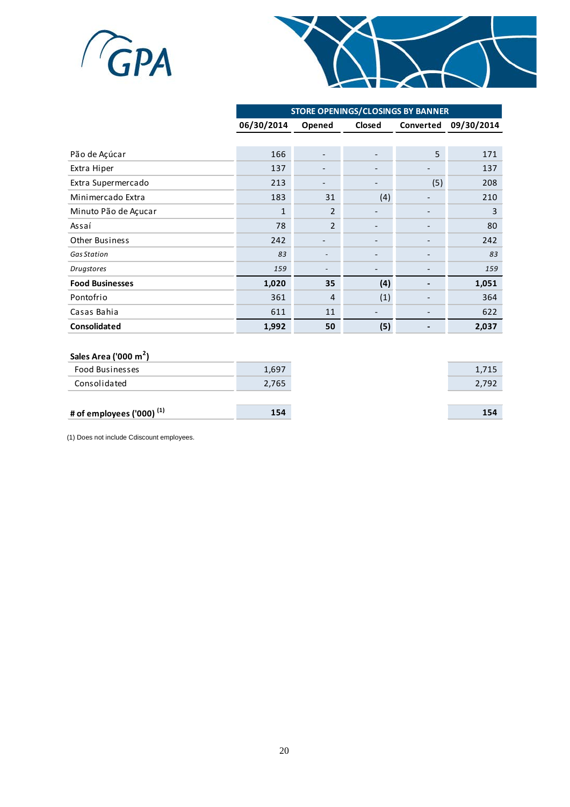



|                        | <b>STORE OPENINGS/CLOSINGS BY BANNER</b> |                          |        |           |            |  |  |  |
|------------------------|------------------------------------------|--------------------------|--------|-----------|------------|--|--|--|
|                        | 06/30/2014                               | Opened                   | Closed | Converted | 09/30/2014 |  |  |  |
|                        |                                          |                          |        |           |            |  |  |  |
| Pão de Açúcar          | 166                                      |                          |        | 5         | 171        |  |  |  |
| Extra Hiper            | 137                                      |                          |        |           | 137        |  |  |  |
| Extra Supermercado     | 213                                      |                          |        | (5)       | 208        |  |  |  |
| Minimercado Extra      | 183                                      | 31                       | (4)    |           | 210        |  |  |  |
| Minuto Pão de Açucar   | $\mathbf{1}$                             | $\overline{2}$           |        |           | 3          |  |  |  |
| Assaí                  | 78                                       | $\overline{2}$           |        |           | 80         |  |  |  |
| <b>Other Business</b>  | 242                                      |                          |        |           | 242        |  |  |  |
| <b>Gas Station</b>     | 83                                       | $\overline{\phantom{a}}$ |        |           | 83         |  |  |  |
| <b>Drugstores</b>      | 159                                      |                          |        |           | 159        |  |  |  |
| <b>Food Businesses</b> | 1,020                                    | 35                       | (4)    |           | 1,051      |  |  |  |
| Pontofrio              | 361                                      | $\overline{4}$           | (1)    |           | 364        |  |  |  |
| Casas Bahia            | 611                                      | 11                       |        |           | 622        |  |  |  |
| Consolidated           | 1,992                                    | 50                       | (5)    |           | 2,037      |  |  |  |

### **Sales Area ('000 m<sup>2</sup> )**

| $34123$ and $1241$             |       |       |
|--------------------------------|-------|-------|
| Food Businesses                | 1,697 | 1,715 |
| Consolidated                   | 2,765 | 2,792 |
|                                |       |       |
| # of employees ('000) $^{(1)}$ | 154   | 154   |
|                                |       |       |

(1) Does not include Cdiscount employees.